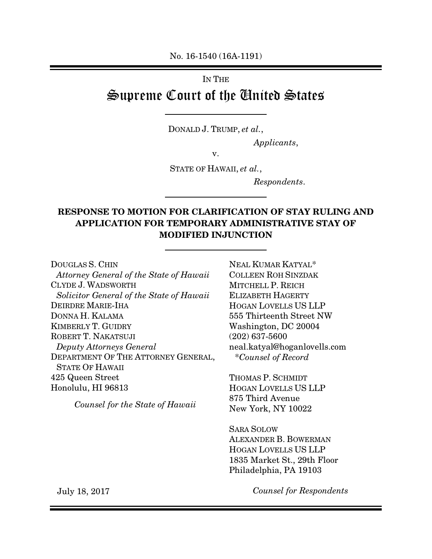No. 16-1540 (16A-1191)

# IN THE Supreme Court of the United States

DONALD J. TRUMP, et al.,

 $\overline{a}$ 

 $\overline{a}$ 

 $\overline{a}$ 

Applicants,

v.

STATE OF HAWAII, et al.,

Respondents.

## RESPONSE TO MOTION FOR CLARIFICATION OF STAY RULING AND APPLICATION FOR TEMPORARY ADMINISTRATIVE STAY OF MODIFIED INJUNCTION

DOUGLAS S. CHIN Attorney General of the State of Hawaii CLYDE J. WADSWORTH Solicitor General of the State of Hawaii DEIRDRE MARIE-IHA DONNA H. KALAMA KIMBERLY T. GUIDRY ROBERT T. NAKATSUJI Deputy Attorneys General DEPARTMENT OF THE ATTORNEY GENERAL, STATE OF HAWAII 425 Queen Street Honolulu, HI 96813

Counsel for the State of Hawaii

NEAL KUMAR KATYAL\* COLLEEN ROH SINZDAK MITCHELL P. REICH ELIZABETH HAGERTY HOGAN LOVELLS US LLP 555 Thirteenth Street NW Washington, DC 20004 (202) 637-5600 neal.katyal@hoganlovells.com \*Counsel of Record

THOMAS P. SCHMIDT HOGAN LOVELLS US LLP 875 Third Avenue New York, NY 10022

SARA SOLOW ALEXANDER B. BOWERMAN HOGAN LOVELLS US LLP 1835 Market St., 29th Floor Philadelphia, PA 19103

July 18, 2017

Counsel for Respondents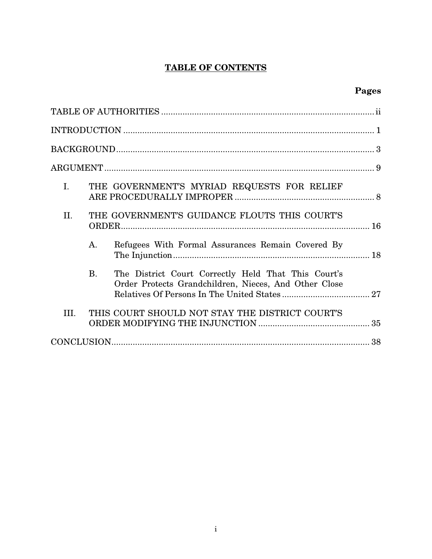## TABLE OF CONTENTS

## Pages

| I.   | THE GOVERNMENT'S MYRIAD REQUESTS FOR RELIEF                                                                               |
|------|---------------------------------------------------------------------------------------------------------------------------|
| II.  | THE GOVERNMENT'S GUIDANCE FLOUTS THIS COURT'S                                                                             |
|      | Refugees With Formal Assurances Remain Covered By<br>$\mathbf{A}$ .                                                       |
|      | <b>B.</b><br>The District Court Correctly Held That This Court's<br>Order Protects Grandchildren, Nieces, And Other Close |
| III. | THIS COURT SHOULD NOT STAY THE DISTRICT COURT'S                                                                           |
|      |                                                                                                                           |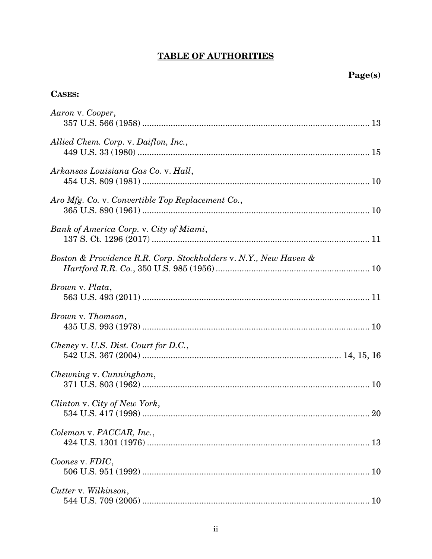## **TABLE OF AUTHORITIES**

## **CASES:**

| Aaron v. Cooper,                                                 |
|------------------------------------------------------------------|
| Allied Chem. Corp. v. Daiflon, Inc.,                             |
| Arkansas Louisiana Gas Co. v. Hall,                              |
| Aro Mfg. Co. v. Convertible Top Replacement Co.,                 |
| Bank of America Corp. v. City of Miami,                          |
| Boston & Providence R.R. Corp. Stockholders v. N.Y., New Haven & |
| Brown v. Plata,                                                  |
| Brown v. Thomson,                                                |
| Cheney v. U.S. Dist. Court for D.C.,                             |
| Chewning v. Cunningham,                                          |
| Clinton v. City of New York,                                     |
| Coleman v. PACCAR, Inc.,                                         |
| Coones v. FDIC,                                                  |
| Cutter v. Wilkinson,                                             |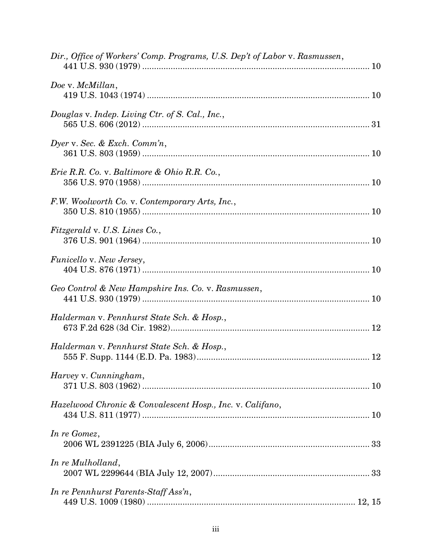| Dir., Office of Workers' Comp. Programs, U.S. Dep't of Labor v. Rasmussen, |  |
|----------------------------------------------------------------------------|--|
| Doe v. McMillan,                                                           |  |
| Douglas v. Indep. Living Ctr. of S. Cal., Inc.,                            |  |
| Dyer v. Sec. & Exch. Comm'n,                                               |  |
| <i>Erie R.R. Co. v. Baltimore &amp; Ohio R.R. Co.,</i>                     |  |
| F.W. Woolworth Co. v. Contemporary Arts, Inc.,                             |  |
| Fitzgerald v. U.S. Lines Co.,                                              |  |
| Funicello v. New Jersey,                                                   |  |
| Geo Control & New Hampshire Ins. Co. v. Rasmussen,                         |  |
| Halderman v. Pennhurst State Sch. & Hosp.,                                 |  |
| Halderman v. Pennhurst State Sch. & Hosp.,                                 |  |
| Harvey v. Cunningham,                                                      |  |
| Hazelwood Chronic & Convalescent Hosp., Inc. v. Califano,                  |  |
| In re Gomez,                                                               |  |
| In re Mulholland,                                                          |  |
| In re Pennhurst Parents-Staff Ass'n,                                       |  |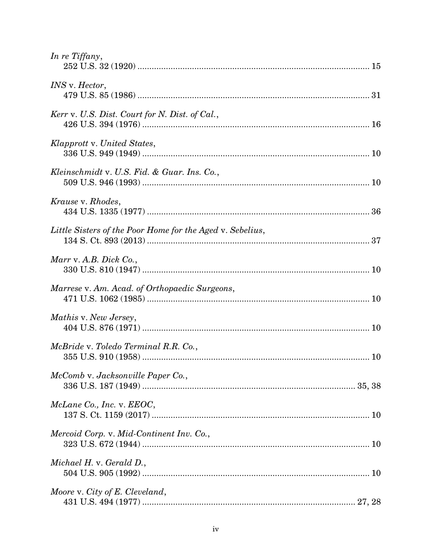| In re Tiffany,                                            |  |
|-----------------------------------------------------------|--|
| <i>INS</i> v. <i>Hector</i> ,                             |  |
| Kerr v. U.S. Dist. Court for N. Dist. of Cal.,            |  |
| Klapprott v. United States,                               |  |
| Kleinschmidt v. U.S. Fid. & Guar. Ins. Co.,               |  |
| Krause v. Rhodes,                                         |  |
| Little Sisters of the Poor Home for the Aged v. Sebelius, |  |
| Marr v. A.B. Dick Co.,                                    |  |
| Marrese v. Am. Acad. of Orthopaedic Surgeons,             |  |
| Mathis v. New Jersey,                                     |  |
| McBride v. Toledo Terminal R.R. Co.,                      |  |
| McComb v. Jacksonville Paper Co.,                         |  |
| McLane Co., Inc. v. EEOC,                                 |  |
| Mercoid Corp. v. Mid-Continent Inv. Co.,                  |  |
| Michael H. v. Gerald D.,                                  |  |
| Moore v. City of E. Cleveland,                            |  |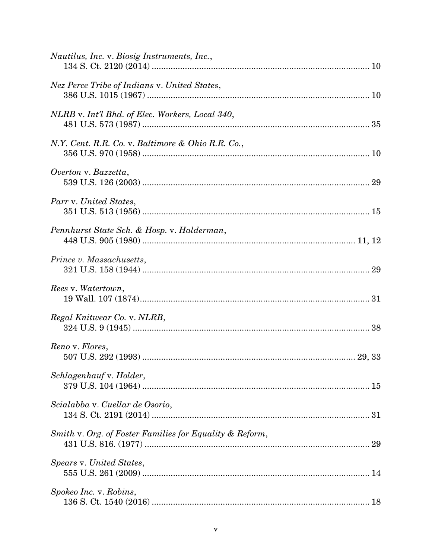| Nautilus, Inc. v. Biosig Instruments, Inc.,             |
|---------------------------------------------------------|
| Nez Perce Tribe of Indians v. United States,            |
| NLRB v. Int'l Bhd. of Elec. Workers, Local 340,         |
| N.Y. Cent. R.R. Co. v. Baltimore & Ohio R.R. Co.,       |
| Overton v. Bazzetta,                                    |
| Parr v. United States,                                  |
| Pennhurst State Sch. & Hosp. v. Halderman,              |
| Prince v. Massachusetts,                                |
| Rees v. Watertown,                                      |
| Regal Knitwear Co. v. NLRB,                             |
| Reno v. Flores,                                         |
| Schlagenhauf v. Holder,                                 |
| Scialabba v. Cuellar de Osorio,                         |
| Smith v. Org. of Foster Families for Equality & Reform, |
| Spears v. United States,                                |
| Spokeo Inc. v. Robins,                                  |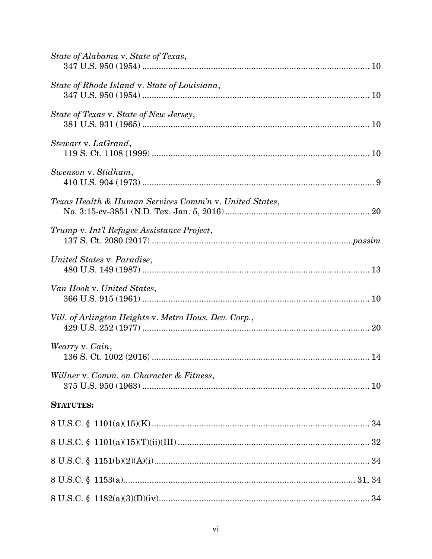| State of Alabama v. State of Texas,                    |  |
|--------------------------------------------------------|--|
| State of Rhode Island v. State of Louisiana,           |  |
| State of Texas v. State of New Jersey,                 |  |
| Stewart v. LaGrand,                                    |  |
| Swenson v. Stidham,                                    |  |
| Texas Health & Human Services Comm'n v. United States, |  |
| Trump v. Int'l Refugee Assistance Project,             |  |
| United States v. Paradise,                             |  |
| Van Hook v. United States,                             |  |
| Vill. of Arlington Heights v. Metro Hous. Dev. Corp.,  |  |
| Wearry v. Cain,                                        |  |
| Willner v. Comm. on Character & Fitness,               |  |
| <b>STATUTES:</b>                                       |  |
|                                                        |  |
|                                                        |  |
|                                                        |  |
|                                                        |  |
|                                                        |  |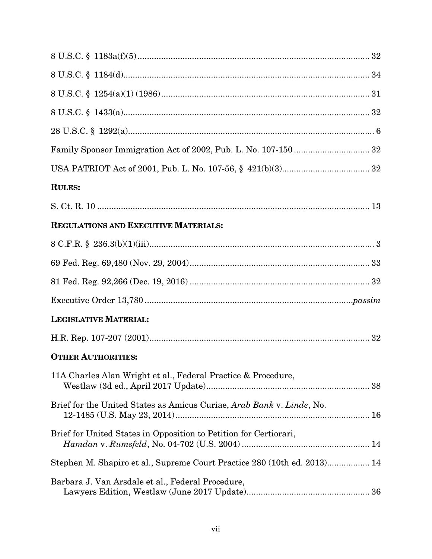| <b>RULES:</b>                                                            |  |
|--------------------------------------------------------------------------|--|
|                                                                          |  |
| REGULATIONS AND EXECUTIVE MATERIALS:                                     |  |
|                                                                          |  |
|                                                                          |  |
|                                                                          |  |
|                                                                          |  |
| <b>LEGISLATIVE MATERIAL:</b>                                             |  |
|                                                                          |  |
| <b>OTHER AUTHORITIES:</b>                                                |  |
| 11A Charles Alan Wright et al., Federal Practice & Procedure,            |  |
| Brief for the United States as Amicus Curiae, Arab Bank v. Linde, No.    |  |
| Brief for United States in Opposition to Petition for Certiorari,        |  |
| Stephen M. Shapiro et al., Supreme Court Practice 280 (10th ed. 2013) 14 |  |
| Barbara J. Van Arsdale et al., Federal Procedure,                        |  |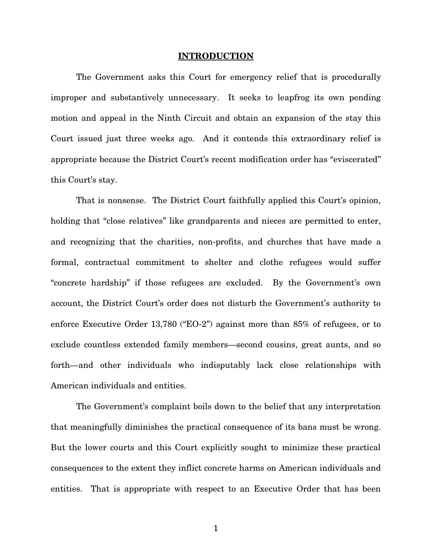#### INTRODUCTION

The Government asks this Court for emergency relief that is procedurally improper and substantively unnecessary. It seeks to leapfrog its own pending motion and appeal in the Ninth Circuit and obtain an expansion of the stay this Court issued just three weeks ago. And it contends this extraordinary relief is appropriate because the District Court's recent modification order has "eviscerated" this Court's stay.

That is nonsense. The District Court faithfully applied this Court's opinion, holding that "close relatives" like grandparents and nieces are permitted to enter, and recognizing that the charities, non-profits, and churches that have made a formal, contractual commitment to shelter and clothe refugees would suffer "concrete hardship" if those refugees are excluded. By the Government's own account, the District Court's order does not disturb the Government's authority to enforce Executive Order 13,780 ("EO-2") against more than 85% of refugees, or to exclude countless extended family members—second cousins, great aunts, and so forth—and other individuals who indisputably lack close relationships with American individuals and entities.

The Government's complaint boils down to the belief that any interpretation that meaningfully diminishes the practical consequence of its bans must be wrong. But the lower courts and this Court explicitly sought to minimize these practical consequences to the extent they inflict concrete harms on American individuals and entities. That is appropriate with respect to an Executive Order that has been

1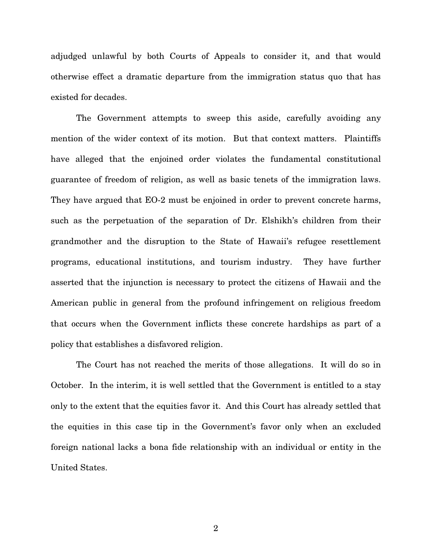adjudged unlawful by both Courts of Appeals to consider it, and that would otherwise effect a dramatic departure from the immigration status quo that has existed for decades.

The Government attempts to sweep this aside, carefully avoiding any mention of the wider context of its motion. But that context matters. Plaintiffs have alleged that the enjoined order violates the fundamental constitutional guarantee of freedom of religion, as well as basic tenets of the immigration laws. They have argued that EO-2 must be enjoined in order to prevent concrete harms, such as the perpetuation of the separation of Dr. Elshikh's children from their grandmother and the disruption to the State of Hawaii's refugee resettlement programs, educational institutions, and tourism industry. They have further asserted that the injunction is necessary to protect the citizens of Hawaii and the American public in general from the profound infringement on religious freedom that occurs when the Government inflicts these concrete hardships as part of a policy that establishes a disfavored religion.

The Court has not reached the merits of those allegations. It will do so in October. In the interim, it is well settled that the Government is entitled to a stay only to the extent that the equities favor it. And this Court has already settled that the equities in this case tip in the Government's favor only when an excluded foreign national lacks a bona fide relationship with an individual or entity in the United States.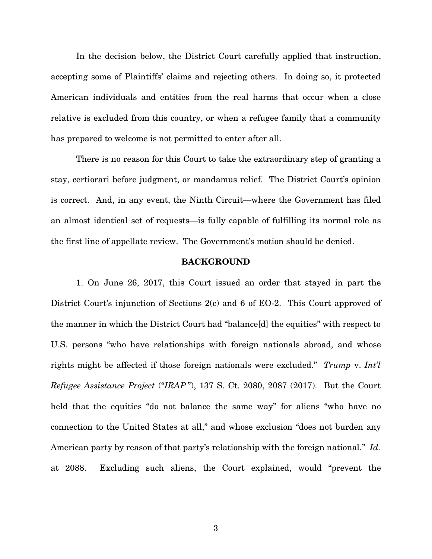In the decision below, the District Court carefully applied that instruction, accepting some of Plaintiffs' claims and rejecting others. In doing so, it protected American individuals and entities from the real harms that occur when a close relative is excluded from this country, or when a refugee family that a community has prepared to welcome is not permitted to enter after all.

There is no reason for this Court to take the extraordinary step of granting a stay, certiorari before judgment, or mandamus relief. The District Court's opinion is correct. And, in any event, the Ninth Circuit—where the Government has filed an almost identical set of requests—is fully capable of fulfilling its normal role as the first line of appellate review. The Government's motion should be denied.

#### **BACKGROUND**

 1. On June 26, 2017, this Court issued an order that stayed in part the District Court's injunction of Sections 2(c) and 6 of EO-2. This Court approved of the manner in which the District Court had "balance[d] the equities" with respect to U.S. persons "who have relationships with foreign nationals abroad, and whose rights might be affected if those foreign nationals were excluded." Trump v. Int'l Refugee Assistance Project ("IRAP "), 137 S. Ct. 2080, 2087 (2017). But the Court held that the equities "do not balance the same way" for aliens "who have no connection to the United States at all," and whose exclusion "does not burden any American party by reason of that party's relationship with the foreign national." Id. at 2088. Excluding such aliens, the Court explained, would "prevent the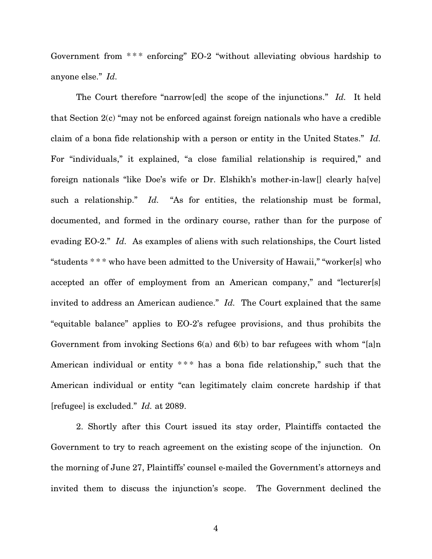Government from \*\*\* enforcing" EO-2 "without alleviating obvious hardship to anyone else." Id.

The Court therefore "narrow[ed] the scope of the injunctions." Id. It held that Section 2(c) "may not be enforced against foreign nationals who have a credible claim of a bona fide relationship with a person or entity in the United States." Id. For "individuals," it explained, "a close familial relationship is required," and foreign nationals "like Doe's wife or Dr. Elshikh's mother-in-law[] clearly ha[ve] such a relationship." Id. "As for entities, the relationship must be formal, documented, and formed in the ordinary course, rather than for the purpose of evading EO-2." Id. As examples of aliens with such relationships, the Court listed "students \* \* \* who have been admitted to the University of Hawaii," "worker[s] who accepted an offer of employment from an American company," and "lecturer[s] invited to address an American audience." Id. The Court explained that the same "equitable balance" applies to EO-2's refugee provisions, and thus prohibits the Government from invoking Sections 6(a) and 6(b) to bar refugees with whom "[a]n American individual or entity \*\*\* has a bona fide relationship," such that the American individual or entity "can legitimately claim concrete hardship if that [refugee] is excluded." Id. at 2089.

2. Shortly after this Court issued its stay order, Plaintiffs contacted the Government to try to reach agreement on the existing scope of the injunction. On the morning of June 27, Plaintiffs' counsel e-mailed the Government's attorneys and invited them to discuss the injunction's scope. The Government declined the

4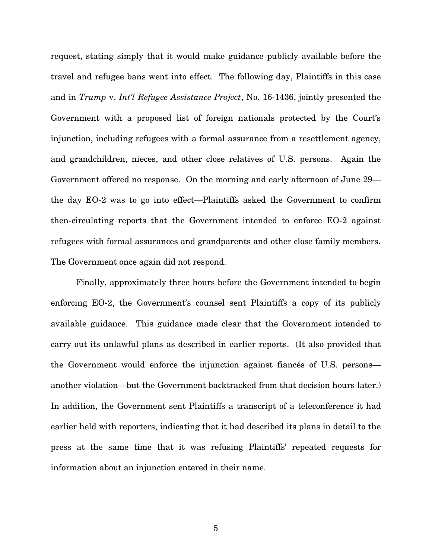request, stating simply that it would make guidance publicly available before the travel and refugee bans went into effect. The following day, Plaintiffs in this case and in Trump v. Int'l Refugee Assistance Project, No. 16-1436, jointly presented the Government with a proposed list of foreign nationals protected by the Court's injunction, including refugees with a formal assurance from a resettlement agency, and grandchildren, nieces, and other close relatives of U.S. persons. Again the Government offered no response. On the morning and early afternoon of June 29 the day EO-2 was to go into effect—Plaintiffs asked the Government to confirm then-circulating reports that the Government intended to enforce EO-2 against refugees with formal assurances and grandparents and other close family members. The Government once again did not respond.

Finally, approximately three hours before the Government intended to begin enforcing EO-2, the Government's counsel sent Plaintiffs a copy of its publicly available guidance. This guidance made clear that the Government intended to carry out its unlawful plans as described in earlier reports. (It also provided that the Government would enforce the injunction against fiancés of U.S. persons another violation—but the Government backtracked from that decision hours later.) In addition, the Government sent Plaintiffs a transcript of a teleconference it had earlier held with reporters, indicating that it had described its plans in detail to the press at the same time that it was refusing Plaintiffs' repeated requests for information about an injunction entered in their name.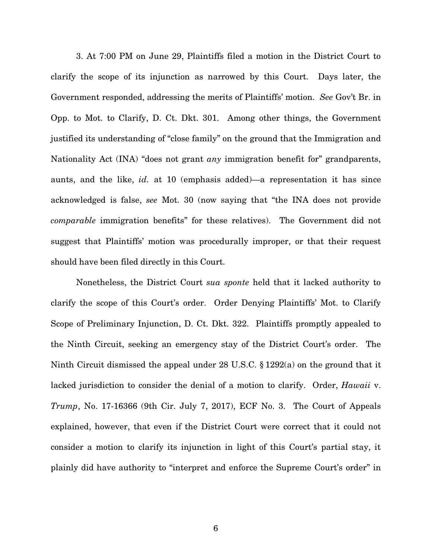3. At 7:00 PM on June 29, Plaintiffs filed a motion in the District Court to clarify the scope of its injunction as narrowed by this Court. Days later, the Government responded, addressing the merits of Plaintiffs' motion. See Gov't Br. in Opp. to Mot. to Clarify, D. Ct. Dkt. 301. Among other things, the Government justified its understanding of "close family" on the ground that the Immigration and Nationality Act (INA) "does not grant any immigration benefit for" grandparents, aunts, and the like, id. at 10 (emphasis added)—a representation it has since acknowledged is false, see Mot. 30 (now saying that "the INA does not provide comparable immigration benefits" for these relatives). The Government did not suggest that Plaintiffs' motion was procedurally improper, or that their request should have been filed directly in this Court.

Nonetheless, the District Court sua sponte held that it lacked authority to clarify the scope of this Court's order. Order Denying Plaintiffs' Mot. to Clarify Scope of Preliminary Injunction, D. Ct. Dkt. 322. Plaintiffs promptly appealed to the Ninth Circuit, seeking an emergency stay of the District Court's order. The Ninth Circuit dismissed the appeal under 28 U.S.C. § 1292(a) on the ground that it lacked jurisdiction to consider the denial of a motion to clarify. Order, Hawaii v. Trump, No. 17-16366 (9th Cir. July 7, 2017), ECF No. 3. The Court of Appeals explained, however, that even if the District Court were correct that it could not consider a motion to clarify its injunction in light of this Court's partial stay, it plainly did have authority to "interpret and enforce the Supreme Court's order" in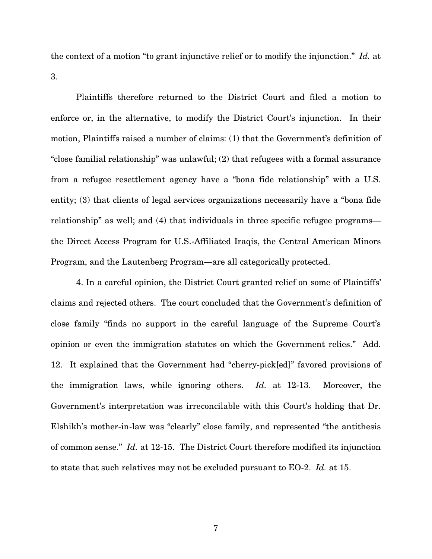the context of a motion "to grant injunctive relief or to modify the injunction." Id. at 3.

Plaintiffs therefore returned to the District Court and filed a motion to enforce or, in the alternative, to modify the District Court's injunction. In their motion, Plaintiffs raised a number of claims: (1) that the Government's definition of "close familial relationship" was unlawful; (2) that refugees with a formal assurance from a refugee resettlement agency have a "bona fide relationship" with a U.S. entity; (3) that clients of legal services organizations necessarily have a "bona fide relationship" as well; and (4) that individuals in three specific refugee programs the Direct Access Program for U.S.-Affiliated Iraqis, the Central American Minors Program, and the Lautenberg Program—are all categorically protected.

4. In a careful opinion, the District Court granted relief on some of Plaintiffs' claims and rejected others. The court concluded that the Government's definition of close family "finds no support in the careful language of the Supreme Court's opinion or even the immigration statutes on which the Government relies." Add. 12. It explained that the Government had "cherry-pick[ed]" favored provisions of the immigration laws, while ignoring others. Id. at 12-13. Moreover, the Government's interpretation was irreconcilable with this Court's holding that Dr. Elshikh's mother-in-law was "clearly" close family, and represented "the antithesis of common sense." Id. at 12-15. The District Court therefore modified its injunction to state that such relatives may not be excluded pursuant to EO-2. Id. at 15.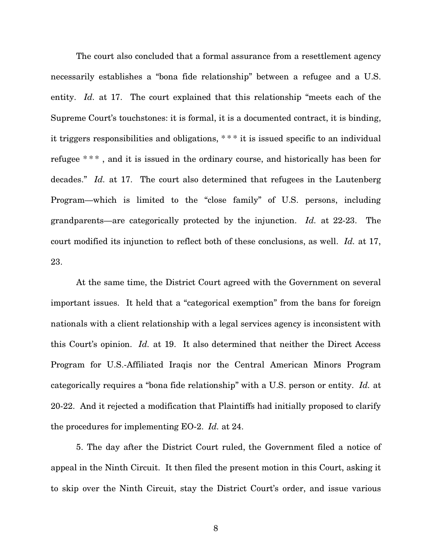The court also concluded that a formal assurance from a resettlement agency necessarily establishes a "bona fide relationship" between a refugee and a U.S. entity. Id. at 17. The court explained that this relationship "meets each of the Supreme Court's touchstones: it is formal, it is a documented contract, it is binding, it triggers responsibilities and obligations, \* \* \* it is issued specific to an individual refugee \*\*\*, and it is issued in the ordinary course, and historically has been for decades." Id. at 17. The court also determined that refugees in the Lautenberg Program—which is limited to the "close family" of U.S. persons, including grandparents—are categorically protected by the injunction. Id. at 22-23. The court modified its injunction to reflect both of these conclusions, as well. Id. at 17, 23.

At the same time, the District Court agreed with the Government on several important issues. It held that a "categorical exemption" from the bans for foreign nationals with a client relationship with a legal services agency is inconsistent with this Court's opinion. Id. at 19. It also determined that neither the Direct Access Program for U.S.-Affiliated Iraqis nor the Central American Minors Program categorically requires a "bona fide relationship" with a U.S. person or entity. Id. at 20-22. And it rejected a modification that Plaintiffs had initially proposed to clarify the procedures for implementing EO-2. Id. at 24.

5. The day after the District Court ruled, the Government filed a notice of appeal in the Ninth Circuit. It then filed the present motion in this Court, asking it to skip over the Ninth Circuit, stay the District Court's order, and issue various

8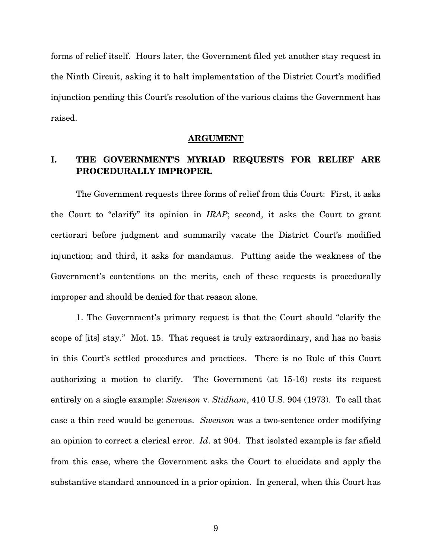forms of relief itself. Hours later, the Government filed yet another stay request in the Ninth Circuit, asking it to halt implementation of the District Court's modified injunction pending this Court's resolution of the various claims the Government has raised.

#### ARGUMENT

### I. THE GOVERNMENT'S MYRIAD REQUESTS FOR RELIEF ARE PROCEDURALLY IMPROPER.

The Government requests three forms of relief from this Court: First, it asks the Court to "clarify" its opinion in IRAP; second, it asks the Court to grant certiorari before judgment and summarily vacate the District Court's modified injunction; and third, it asks for mandamus. Putting aside the weakness of the Government's contentions on the merits, each of these requests is procedurally improper and should be denied for that reason alone.

1. The Government's primary request is that the Court should "clarify the scope of [its] stay." Mot. 15. That request is truly extraordinary, and has no basis in this Court's settled procedures and practices. There is no Rule of this Court authorizing a motion to clarify. The Government (at 15-16) rests its request entirely on a single example: Swenson v. Stidham, 410 U.S. 904 (1973). To call that case a thin reed would be generous. Swenson was a two-sentence order modifying an opinion to correct a clerical error. Id. at 904. That isolated example is far afield from this case, where the Government asks the Court to elucidate and apply the substantive standard announced in a prior opinion. In general, when this Court has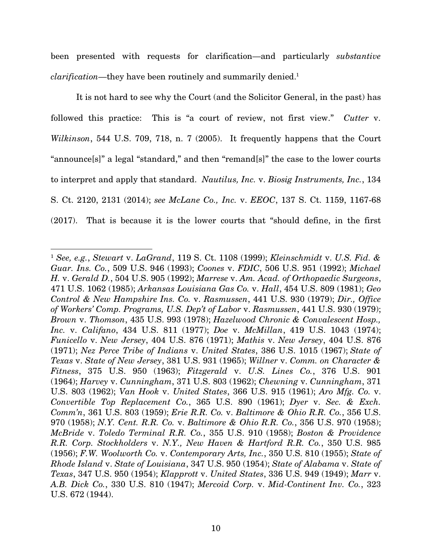been presented with requests for clarification—and particularly substantive clarification—they have been routinely and summarily denied.<sup>1</sup>

It is not hard to see why the Court (and the Solicitor General, in the past) has followed this practice: This is "a court of review, not first view." Cutter v. Wilkinson, 544 U.S. 709, 718, n. 7 (2005). It frequently happens that the Court "announce[s]" a legal "standard," and then "remand[s]" the case to the lower courts to interpret and apply that standard. Nautilus, Inc. v. Biosig Instruments, Inc., 134 S. Ct. 2120, 2131 (2014); see McLane Co., Inc. v. EEOC, 137 S. Ct. 1159, 1167-68 (2017). That is because it is the lower courts that "should define, in the first

<sup>&</sup>lt;sup>1</sup> See, e.g., Stewart v. LaGrand, 119 S. Ct. 1108 (1999); Kleinschmidt v. U.S. Fid. & Guar. Ins. Co., 509 U.S. 946 (1993); Coones v. FDIC, 506 U.S. 951 (1992); Michael H. v. Gerald D., 504 U.S. 905 (1992); Marrese v. Am. Acad. of Orthopaedic Surgeons, 471 U.S. 1062 (1985); Arkansas Louisiana Gas Co. v. Hall, 454 U.S. 809 (1981); Geo Control & New Hampshire Ins. Co. v. Rasmussen, 441 U.S. 930 (1979); Dir., Office of Workers' Comp. Programs, U.S. Dep't of Labor v. Rasmussen, 441 U.S. 930 (1979); Brown v. Thomson, 435 U.S. 993 (1978); Hazelwood Chronic & Convalescent Hosp., Inc. v. Califano, 434 U.S. 811 (1977); Doe v. McMillan, 419 U.S. 1043 (1974); Funicello v. New Jersey, 404 U.S. 876 (1971); Mathis v. New Jersey, 404 U.S. 876 (1971); Nez Perce Tribe of Indians v. United States, 386 U.S. 1015 (1967); State of Texas v. State of New Jersey, 381 U.S. 931 (1965); Willner v. Comm. on Character & Fitness, 375 U.S. 950 (1963); Fitzgerald v. U.S. Lines Co., 376 U.S. 901 (1964); Harvey v. Cunningham, 371 U.S. 803 (1962); Chewning v. Cunningham, 371 U.S. 803 (1962); Van Hook v. United States, 366 U.S. 915 (1961); Aro Mfg. Co. v. Convertible Top Replacement Co., 365 U.S. 890 (1961); Dyer v. Sec. & Exch. Comm'n, 361 U.S. 803 (1959); Erie R.R. Co. v. Baltimore & Ohio R.R. Co., 356 U.S. 970 (1958); N.Y. Cent. R.R. Co. v. Baltimore & Ohio R.R. Co., 356 U.S. 970 (1958); McBride v. Toledo Terminal R.R. Co., 355 U.S. 910 (1958); Boston & Providence R.R. Corp. Stockholders v. N.Y., New Haven & Hartford R.R. Co., 350 U.S. 985 (1956); F.W. Woolworth Co. v. Contemporary Arts, Inc., 350 U.S. 810 (1955); State of Rhode Island v. State of Louisiana, 347 U.S. 950 (1954); State of Alabama v. State of Texas, 347 U.S. 950 (1954); Klapprott v. United States, 336 U.S. 949 (1949); Marr v. A.B. Dick Co., 330 U.S. 810 (1947); Mercoid Corp. v. Mid-Continent Inv. Co., 323 U.S. 672 (1944).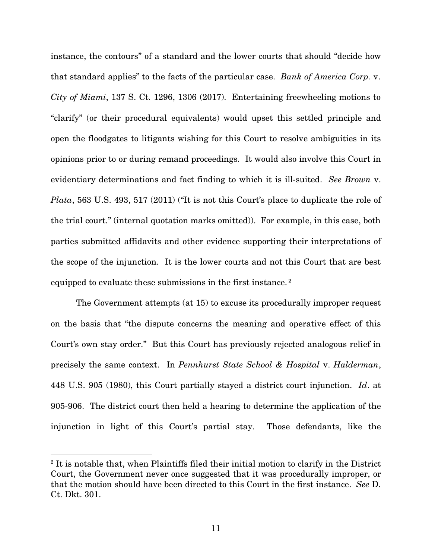instance, the contours" of a standard and the lower courts that should "decide how that standard applies" to the facts of the particular case. Bank of America Corp. v. City of Miami, 137 S. Ct. 1296, 1306 (2017). Entertaining freewheeling motions to "clarify" (or their procedural equivalents) would upset this settled principle and open the floodgates to litigants wishing for this Court to resolve ambiguities in its opinions prior to or during remand proceedings. It would also involve this Court in evidentiary determinations and fact finding to which it is ill-suited. See Brown v. Plata, 563 U.S. 493, 517 (2011) ("It is not this Court's place to duplicate the role of the trial court." (internal quotation marks omitted)). For example, in this case, both parties submitted affidavits and other evidence supporting their interpretations of the scope of the injunction. It is the lower courts and not this Court that are best equipped to evaluate these submissions in the first instance.<sup>2</sup>

The Government attempts (at 15) to excuse its procedurally improper request on the basis that "the dispute concerns the meaning and operative effect of this Court's own stay order." But this Court has previously rejected analogous relief in precisely the same context. In Pennhurst State School & Hospital v. Halderman, 448 U.S. 905 (1980), this Court partially stayed a district court injunction. Id. at 905-906. The district court then held a hearing to determine the application of the injunction in light of this Court's partial stay. Those defendants, like the

<sup>&</sup>lt;sup>2</sup> It is notable that, when Plaintiffs filed their initial motion to clarify in the District Court, the Government never once suggested that it was procedurally improper, or that the motion should have been directed to this Court in the first instance. See D. Ct. Dkt. 301.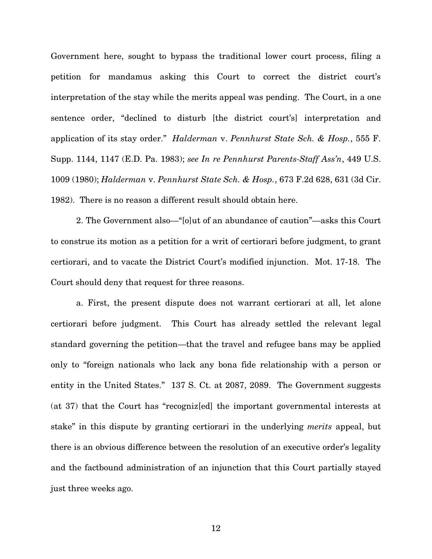Government here, sought to bypass the traditional lower court process, filing a petition for mandamus asking this Court to correct the district court's interpretation of the stay while the merits appeal was pending. The Court, in a one sentence order, "declined to disturb [the district court's] interpretation and application of its stay order." Halderman v. Pennhurst State Sch. & Hosp., 555 F. Supp. 1144, 1147 (E.D. Pa. 1983); see In re Pennhurst Parents-Staff Ass'n, 449 U.S. 1009 (1980); Halderman v. Pennhurst State Sch. & Hosp., 673 F.2d 628, 631 (3d Cir. 1982). There is no reason a different result should obtain here.

2. The Government also—"[o]ut of an abundance of caution"—asks this Court to construe its motion as a petition for a writ of certiorari before judgment, to grant certiorari, and to vacate the District Court's modified injunction. Mot. 17-18. The Court should deny that request for three reasons.

a. First, the present dispute does not warrant certiorari at all, let alone certiorari before judgment. This Court has already settled the relevant legal standard governing the petition—that the travel and refugee bans may be applied only to "foreign nationals who lack any bona fide relationship with a person or entity in the United States." 137 S. Ct. at 2087, 2089. The Government suggests (at 37) that the Court has "recogniz[ed] the important governmental interests at stake" in this dispute by granting certiorari in the underlying merits appeal, but there is an obvious difference between the resolution of an executive order's legality and the factbound administration of an injunction that this Court partially stayed just three weeks ago.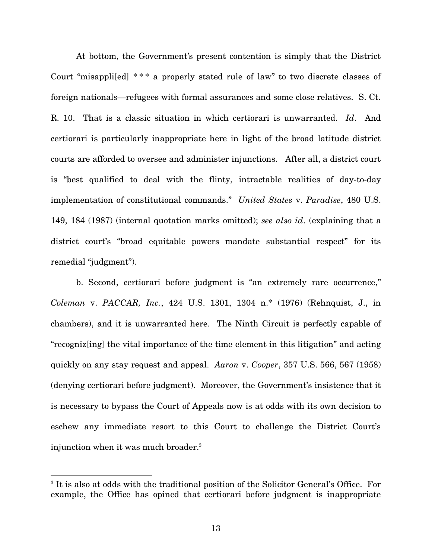At bottom, the Government's present contention is simply that the District Court "misappli[ed] \* \* \* a properly stated rule of law" to two discrete classes of foreign nationals—refugees with formal assurances and some close relatives. S. Ct. R. 10. That is a classic situation in which certiorari is unwarranted. Id. And certiorari is particularly inappropriate here in light of the broad latitude district courts are afforded to oversee and administer injunctions. After all, a district court is "best qualified to deal with the flinty, intractable realities of day-to-day implementation of constitutional commands." United States v. Paradise, 480 U.S. 149, 184 (1987) (internal quotation marks omitted); see also id. (explaining that a district court's "broad equitable powers mandate substantial respect" for its remedial "judgment").

b. Second, certiorari before judgment is "an extremely rare occurrence," Coleman v. PACCAR, Inc., 424 U.S. 1301, 1304 n.\* (1976) (Rehnquist, J., in chambers), and it is unwarranted here. The Ninth Circuit is perfectly capable of "recogniz[ing] the vital importance of the time element in this litigation" and acting quickly on any stay request and appeal. Aaron v. Cooper, 357 U.S. 566, 567 (1958) (denying certiorari before judgment). Moreover, the Government's insistence that it is necessary to bypass the Court of Appeals now is at odds with its own decision to eschew any immediate resort to this Court to challenge the District Court's injunction when it was much broader.<sup>3</sup>

<sup>&</sup>lt;sup>3</sup> It is also at odds with the traditional position of the Solicitor General's Office. For example, the Office has opined that certiorari before judgment is inappropriate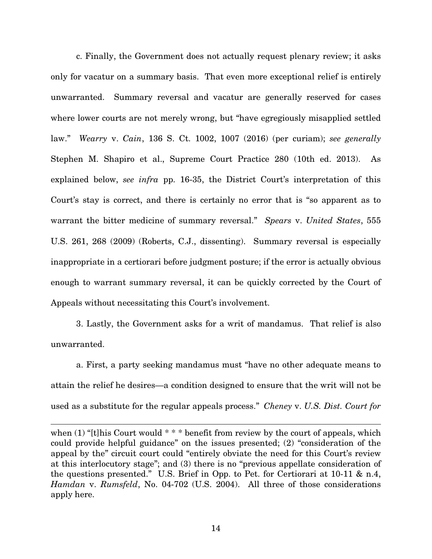c. Finally, the Government does not actually request plenary review; it asks only for vacatur on a summary basis. That even more exceptional relief is entirely unwarranted. Summary reversal and vacatur are generally reserved for cases where lower courts are not merely wrong, but "have egregiously misapplied settled law." Wearry v. Cain, 136 S. Ct. 1002, 1007 (2016) (per curiam); see generally Stephen M. Shapiro et al., Supreme Court Practice 280 (10th ed. 2013). As explained below, see infra pp. 16-35, the District Court's interpretation of this Court's stay is correct, and there is certainly no error that is "so apparent as to warrant the bitter medicine of summary reversal." Spears v. United States, 555 U.S. 261, 268 (2009) (Roberts, C.J., dissenting). Summary reversal is especially inappropriate in a certiorari before judgment posture; if the error is actually obvious enough to warrant summary reversal, it can be quickly corrected by the Court of Appeals without necessitating this Court's involvement.

3. Lastly, the Government asks for a writ of mandamus. That relief is also unwarranted.

a. First, a party seeking mandamus must "have no other adequate means to attain the relief he desires—a condition designed to ensure that the writ will not be used as a substitute for the regular appeals process." Cheney v. U.S. Dist. Court for

 $\overline{a}$ 

when  $(1)$  "[t]his Court would  $***$  benefit from review by the court of appeals, which could provide helpful guidance" on the issues presented; (2) "consideration of the appeal by the" circuit court could "entirely obviate the need for this Court's review at this interlocutory stage"; and (3) there is no "previous appellate consideration of the questions presented." U.S. Brief in Opp. to Pet. for Certiorari at 10-11 & n.4, Hamdan v. Rumsfeld, No. 04-702 (U.S. 2004). All three of those considerations apply here.

14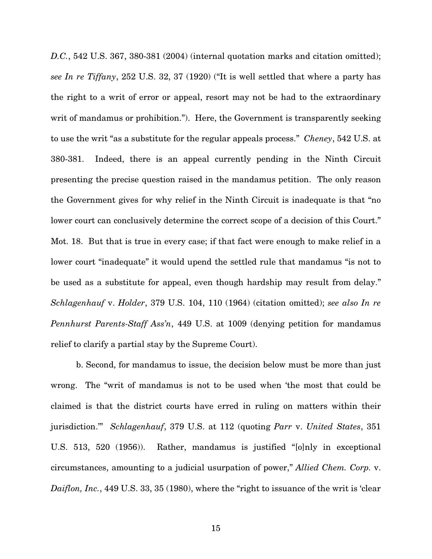D.C., 542 U.S. 367, 380-381 (2004) (internal quotation marks and citation omitted); see In re Tiffany, 252 U.S. 32, 37 (1920) ("It is well settled that where a party has the right to a writ of error or appeal, resort may not be had to the extraordinary writ of mandamus or prohibition."). Here, the Government is transparently seeking to use the writ "as a substitute for the regular appeals process." Cheney, 542 U.S. at 380-381. Indeed, there is an appeal currently pending in the Ninth Circuit presenting the precise question raised in the mandamus petition. The only reason the Government gives for why relief in the Ninth Circuit is inadequate is that "no lower court can conclusively determine the correct scope of a decision of this Court." Mot. 18. But that is true in every case; if that fact were enough to make relief in a lower court "inadequate" it would upend the settled rule that mandamus "is not to be used as a substitute for appeal, even though hardship may result from delay." Schlagenhauf v. Holder, 379 U.S. 104, 110 (1964) (citation omitted); see also In re Pennhurst Parents-Staff Ass'n, 449 U.S. at 1009 (denying petition for mandamus relief to clarify a partial stay by the Supreme Court).

b. Second, for mandamus to issue, the decision below must be more than just wrong. The "writ of mandamus is not to be used when 'the most that could be claimed is that the district courts have erred in ruling on matters within their jurisdiction." Schlagenhauf, 379 U.S. at 112 (quoting Parr v. United States, 351 U.S. 513, 520 (1956)). Rather, mandamus is justified "[o]nly in exceptional circumstances, amounting to a judicial usurpation of power," Allied Chem. Corp. v. Daiflon, Inc., 449 U.S. 33, 35 (1980), where the "right to issuance of the writ is 'clear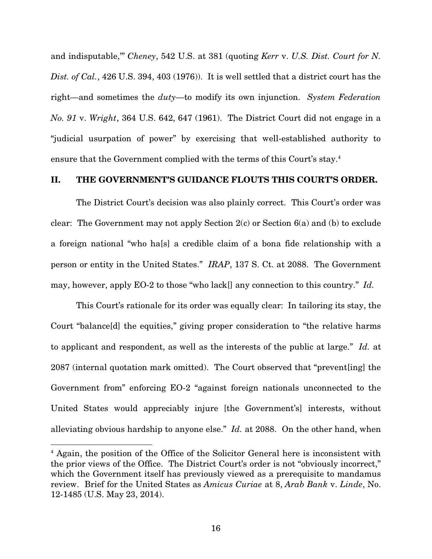and indisputable,'" Cheney, 542 U.S. at 381 (quoting Kerr v. U.S. Dist. Court for N. Dist. of Cal., 426 U.S. 394, 403 (1976)). It is well settled that a district court has the right—and sometimes the *duty*—to modify its own injunction. System Federation No. 91 v. Wright, 364 U.S. 642, 647 (1961). The District Court did not engage in a "judicial usurpation of power" by exercising that well-established authority to ensure that the Government complied with the terms of this Court's stay.<sup>4</sup>

#### II. THE GOVERNMENT'S GUIDANCE FLOUTS THIS COURT'S ORDER.

The District Court's decision was also plainly correct. This Court's order was clear: The Government may not apply Section  $2(c)$  or Section  $6(a)$  and (b) to exclude a foreign national "who ha[s] a credible claim of a bona fide relationship with a person or entity in the United States." IRAP, 137 S. Ct. at 2088. The Government may, however, apply EO-2 to those "who lack[] any connection to this country." Id.

This Court's rationale for its order was equally clear: In tailoring its stay, the Court "balance[d] the equities," giving proper consideration to "the relative harms to applicant and respondent, as well as the interests of the public at large." Id. at 2087 (internal quotation mark omitted). The Court observed that "prevent[ing] the Government from" enforcing EO-2 "against foreign nationals unconnected to the United States would appreciably injure [the Government's] interests, without alleviating obvious hardship to anyone else." Id. at 2088. On the other hand, when

<sup>&</sup>lt;sup>4</sup> Again, the position of the Office of the Solicitor General here is inconsistent with the prior views of the Office. The District Court's order is not "obviously incorrect," which the Government itself has previously viewed as a prerequisite to mandamus review. Brief for the United States as Amicus Curiae at 8, Arab Bank v. Linde, No. 12-1485 (U.S. May 23, 2014).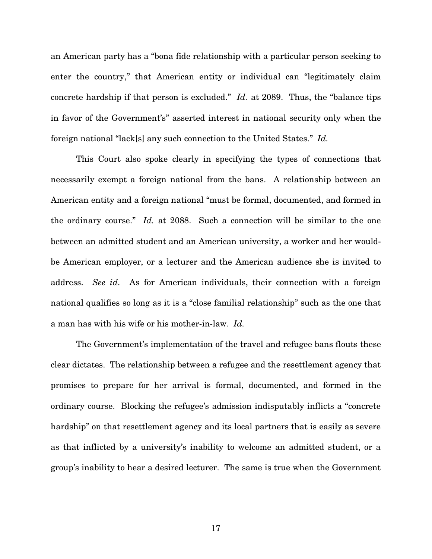an American party has a "bona fide relationship with a particular person seeking to enter the country," that American entity or individual can "legitimately claim concrete hardship if that person is excluded." Id. at 2089. Thus, the "balance tips in favor of the Government's" asserted interest in national security only when the foreign national "lack[s] any such connection to the United States." Id.

This Court also spoke clearly in specifying the types of connections that necessarily exempt a foreign national from the bans. A relationship between an American entity and a foreign national "must be formal, documented, and formed in the ordinary course." Id. at 2088. Such a connection will be similar to the one between an admitted student and an American university, a worker and her wouldbe American employer, or a lecturer and the American audience she is invited to address. See id. As for American individuals, their connection with a foreign national qualifies so long as it is a "close familial relationship" such as the one that a man has with his wife or his mother-in-law. Id.

The Government's implementation of the travel and refugee bans flouts these clear dictates. The relationship between a refugee and the resettlement agency that promises to prepare for her arrival is formal, documented, and formed in the ordinary course. Blocking the refugee's admission indisputably inflicts a "concrete hardship" on that resettlement agency and its local partners that is easily as severe as that inflicted by a university's inability to welcome an admitted student, or a group's inability to hear a desired lecturer. The same is true when the Government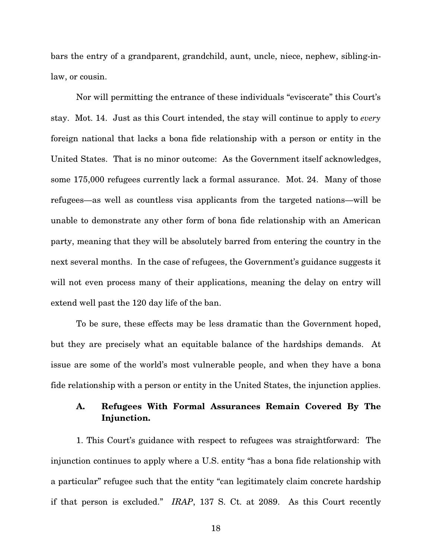bars the entry of a grandparent, grandchild, aunt, uncle, niece, nephew, sibling-inlaw, or cousin.

Nor will permitting the entrance of these individuals "eviscerate" this Court's stay. Mot. 14. Just as this Court intended, the stay will continue to apply to every foreign national that lacks a bona fide relationship with a person or entity in the United States. That is no minor outcome: As the Government itself acknowledges, some 175,000 refugees currently lack a formal assurance. Mot. 24. Many of those refugees—as well as countless visa applicants from the targeted nations—will be unable to demonstrate any other form of bona fide relationship with an American party, meaning that they will be absolutely barred from entering the country in the next several months. In the case of refugees, the Government's guidance suggests it will not even process many of their applications, meaning the delay on entry will extend well past the 120 day life of the ban.

To be sure, these effects may be less dramatic than the Government hoped, but they are precisely what an equitable balance of the hardships demands. At issue are some of the world's most vulnerable people, and when they have a bona fide relationship with a person or entity in the United States, the injunction applies.

#### A. Refugees With Formal Assurances Remain Covered By The Injunction.

1. This Court's guidance with respect to refugees was straightforward: The injunction continues to apply where a U.S. entity "has a bona fide relationship with a particular" refugee such that the entity "can legitimately claim concrete hardship if that person is excluded." IRAP, 137 S. Ct. at 2089. As this Court recently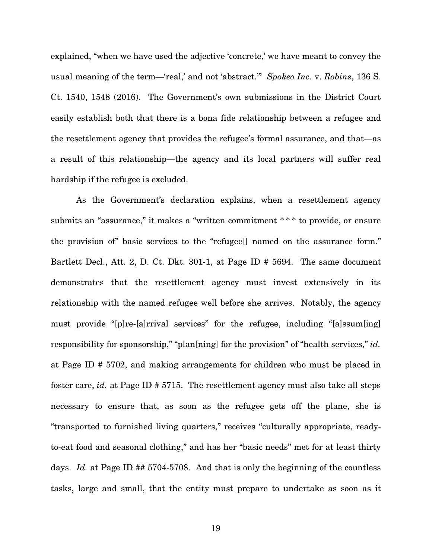explained, "when we have used the adjective 'concrete,' we have meant to convey the usual meaning of the term—'real,' and not 'abstract.'" Spokeo Inc. v. Robins, 136 S. Ct. 1540, 1548 (2016). The Government's own submissions in the District Court easily establish both that there is a bona fide relationship between a refugee and the resettlement agency that provides the refugee's formal assurance, and that—as a result of this relationship—the agency and its local partners will suffer real hardship if the refugee is excluded.

As the Government's declaration explains, when a resettlement agency submits an "assurance," it makes a "written commitment \*\*\* to provide, or ensure the provision of" basic services to the "refugee[] named on the assurance form." Bartlett Decl., Att. 2, D. Ct. Dkt. 301-1, at Page ID # 5694. The same document demonstrates that the resettlement agency must invest extensively in its relationship with the named refugee well before she arrives. Notably, the agency must provide "[p]re-[a]rrival services" for the refugee, including "[a]ssum[ing] responsibility for sponsorship," "plan[ning] for the provision" of "health services," id. at Page ID # 5702, and making arrangements for children who must be placed in foster care, id. at Page ID # 5715. The resettlement agency must also take all steps necessary to ensure that, as soon as the refugee gets off the plane, she is "transported to furnished living quarters," receives "culturally appropriate, readyto-eat food and seasonal clothing," and has her "basic needs" met for at least thirty days. *Id.* at Page ID ## 5704-5708. And that is only the beginning of the countless tasks, large and small, that the entity must prepare to undertake as soon as it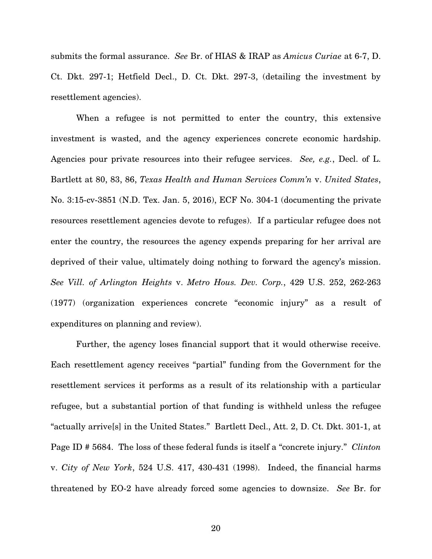submits the formal assurance. See Br. of HIAS & IRAP as Amicus Curiae at 6-7, D. Ct. Dkt. 297-1; Hetfield Decl., D. Ct. Dkt. 297-3, (detailing the investment by resettlement agencies).

When a refugee is not permitted to enter the country, this extensive investment is wasted, and the agency experiences concrete economic hardship. Agencies pour private resources into their refugee services. See, e.g., Decl. of L. Bartlett at 80, 83, 86, Texas Health and Human Services Comm'n v. United States, No. 3:15-cv-3851 (N.D. Tex. Jan. 5, 2016), ECF No. 304-1 (documenting the private resources resettlement agencies devote to refuges). If a particular refugee does not enter the country, the resources the agency expends preparing for her arrival are deprived of their value, ultimately doing nothing to forward the agency's mission. See Vill. of Arlington Heights v. Metro Hous. Dev. Corp., 429 U.S. 252, 262-263 (1977) (organization experiences concrete "economic injury" as a result of expenditures on planning and review).

Further, the agency loses financial support that it would otherwise receive. Each resettlement agency receives "partial" funding from the Government for the resettlement services it performs as a result of its relationship with a particular refugee, but a substantial portion of that funding is withheld unless the refugee "actually arrive[s] in the United States." Bartlett Decl., Att. 2, D. Ct. Dkt. 301-1, at Page ID # 5684. The loss of these federal funds is itself a "concrete injury." Clinton v. City of New York, 524 U.S. 417, 430-431 (1998). Indeed, the financial harms threatened by EO-2 have already forced some agencies to downsize. See Br. for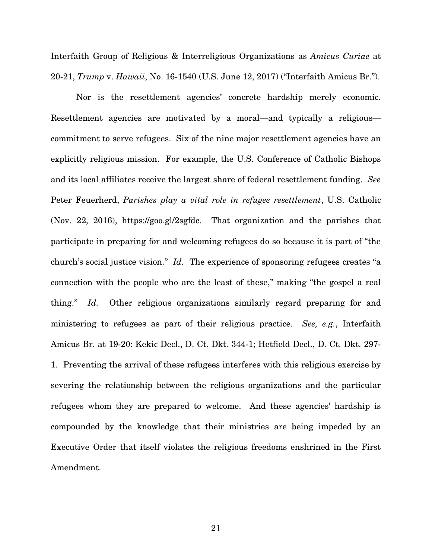Interfaith Group of Religious & Interreligious Organizations as Amicus Curiae at 20-21, Trump v. Hawaii, No. 16-1540 (U.S. June 12, 2017) ("Interfaith Amicus Br.").

Nor is the resettlement agencies' concrete hardship merely economic. Resettlement agencies are motivated by a moral—and typically a religious commitment to serve refugees. Six of the nine major resettlement agencies have an explicitly religious mission. For example, the U.S. Conference of Catholic Bishops and its local affiliates receive the largest share of federal resettlement funding. See Peter Feuerherd, Parishes play a vital role in refugee resettlement, U.S. Catholic (Nov. 22, 2016), https://goo.gl/2sgfdc. That organization and the parishes that participate in preparing for and welcoming refugees do so because it is part of "the church's social justice vision." Id. The experience of sponsoring refugees creates "a connection with the people who are the least of these," making "the gospel a real thing." Id. Other religious organizations similarly regard preparing for and ministering to refugees as part of their religious practice. See, e.g., Interfaith Amicus Br. at 19-20: Kekic Decl., D. Ct. Dkt. 344-1; Hetfield Decl., D. Ct. Dkt. 297- 1. Preventing the arrival of these refugees interferes with this religious exercise by severing the relationship between the religious organizations and the particular refugees whom they are prepared to welcome. And these agencies' hardship is compounded by the knowledge that their ministries are being impeded by an Executive Order that itself violates the religious freedoms enshrined in the First Amendment.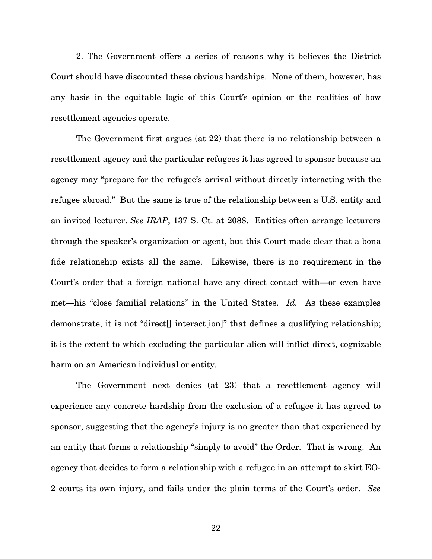2. The Government offers a series of reasons why it believes the District Court should have discounted these obvious hardships. None of them, however, has any basis in the equitable logic of this Court's opinion or the realities of how resettlement agencies operate.

The Government first argues (at 22) that there is no relationship between a resettlement agency and the particular refugees it has agreed to sponsor because an agency may "prepare for the refugee's arrival without directly interacting with the refugee abroad." But the same is true of the relationship between a U.S. entity and an invited lecturer. See IRAP, 137 S. Ct. at 2088. Entities often arrange lecturers through the speaker's organization or agent, but this Court made clear that a bona fide relationship exists all the same. Likewise, there is no requirement in the Court's order that a foreign national have any direct contact with—or even have met—his "close familial relations" in the United States. Id. As these examples demonstrate, it is not "direct[] interact[ion]" that defines a qualifying relationship; it is the extent to which excluding the particular alien will inflict direct, cognizable harm on an American individual or entity.

The Government next denies (at 23) that a resettlement agency will experience any concrete hardship from the exclusion of a refugee it has agreed to sponsor, suggesting that the agency's injury is no greater than that experienced by an entity that forms a relationship "simply to avoid" the Order. That is wrong. An agency that decides to form a relationship with a refugee in an attempt to skirt EO-2 courts its own injury, and fails under the plain terms of the Court's order. See

22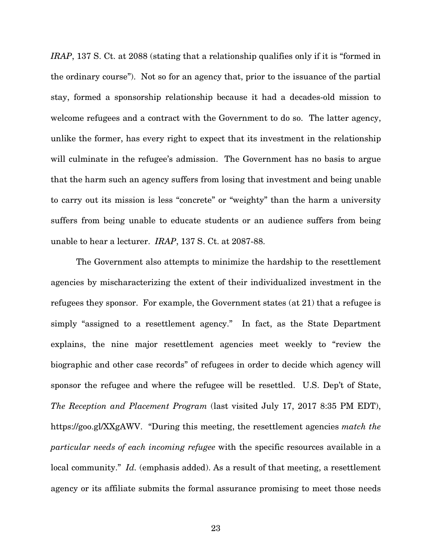IRAP, 137 S. Ct. at 2088 (stating that a relationship qualifies only if it is "formed in the ordinary course"). Not so for an agency that, prior to the issuance of the partial stay, formed a sponsorship relationship because it had a decades-old mission to welcome refugees and a contract with the Government to do so. The latter agency, unlike the former, has every right to expect that its investment in the relationship will culminate in the refugee's admission. The Government has no basis to argue that the harm such an agency suffers from losing that investment and being unable to carry out its mission is less "concrete" or "weighty" than the harm a university suffers from being unable to educate students or an audience suffers from being unable to hear a lecturer. IRAP, 137 S. Ct. at 2087-88.

The Government also attempts to minimize the hardship to the resettlement agencies by mischaracterizing the extent of their individualized investment in the refugees they sponsor. For example, the Government states (at 21) that a refugee is simply "assigned to a resettlement agency." In fact, as the State Department explains, the nine major resettlement agencies meet weekly to "review the biographic and other case records" of refugees in order to decide which agency will sponsor the refugee and where the refugee will be resettled. U.S. Dep't of State, The Reception and Placement Program (last visited July 17, 2017 8:35 PM EDT), https://goo.gl/XXgAWV. "During this meeting, the resettlement agencies match the particular needs of each incoming refugee with the specific resources available in a local community." Id. (emphasis added). As a result of that meeting, a resettlement agency or its affiliate submits the formal assurance promising to meet those needs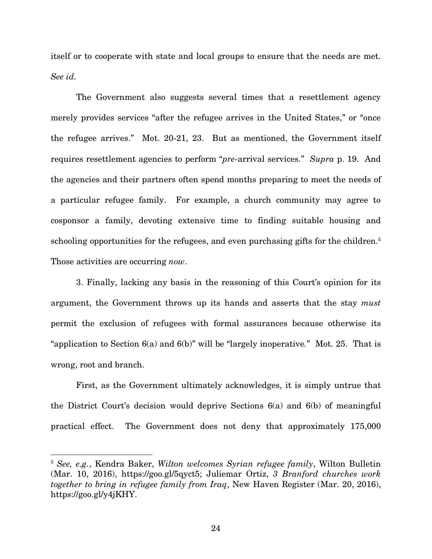itself or to cooperate with state and local groups to ensure that the needs are met. See id.

The Government also suggests several times that a resettlement agency merely provides services "after the refugee arrives in the United States," or "once the refugee arrives." Mot. 20-21, 23. But as mentioned, the Government itself requires resettlement agencies to perform "pre-arrival services." Supra p. 19. And the agencies and their partners often spend months preparing to meet the needs of a particular refugee family. For example, a church community may agree to cosponsor a family, devoting extensive time to finding suitable housing and schooling opportunities for the refugees, and even purchasing gifts for the children.<sup>5</sup> Those activities are occurring *now*.

3. Finally, lacking any basis in the reasoning of this Court's opinion for its argument, the Government throws up its hands and asserts that the stay must permit the exclusion of refugees with formal assurances because otherwise its "application to Section 6(a) and 6(b)" will be "largely inoperative." Mot. 25. That is wrong, root and branch.

First, as the Government ultimately acknowledges, it is simply untrue that the District Court's decision would deprive Sections 6(a) and 6(b) of meaningful practical effect. The Government does not deny that approximately 175,000

<sup>&</sup>lt;sup>5</sup> See, e.g., Kendra Baker, Wilton welcomes Syrian refugee family, Wilton Bulletin (Mar. 10, 2016), https://goo.gl/5qyct5; Juliemar Ortiz, 3 Branford churches work together to bring in refugee family from Iraq, New Haven Register (Mar. 20, 2016), https://goo.gl/y4jKHY.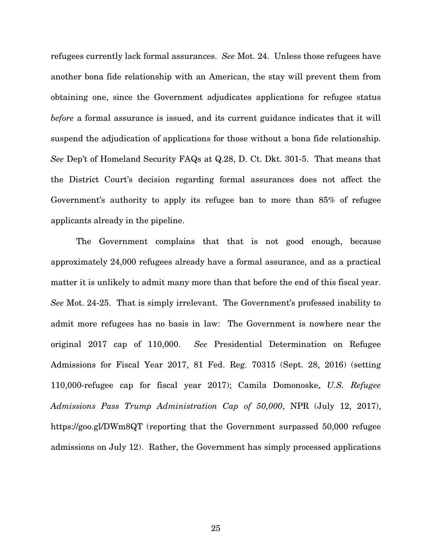refugees currently lack formal assurances. See Mot. 24. Unless those refugees have another bona fide relationship with an American, the stay will prevent them from obtaining one, since the Government adjudicates applications for refugee status before a formal assurance is issued, and its current guidance indicates that it will suspend the adjudication of applications for those without a bona fide relationship. See Dep't of Homeland Security FAQs at Q.28, D. Ct. Dkt. 301-5. That means that the District Court's decision regarding formal assurances does not affect the Government's authority to apply its refugee ban to more than 85% of refugee applicants already in the pipeline.

The Government complains that that is not good enough, because approximately 24,000 refugees already have a formal assurance, and as a practical matter it is unlikely to admit many more than that before the end of this fiscal year. See Mot. 24-25. That is simply irrelevant. The Government's professed inability to admit more refugees has no basis in law: The Government is nowhere near the original 2017 cap of 110,000. See Presidential Determination on Refugee Admissions for Fiscal Year 2017, 81 Fed. Reg. 70315 (Sept. 28, 2016) (setting 110,000-refugee cap for fiscal year 2017); Camila Domonoske, U.S. Refugee Admissions Pass Trump Administration Cap of 50,000, NPR (July 12, 2017), https://goo.gl/DWm8QT (reporting that the Government surpassed 50,000 refugee admissions on July 12). Rather, the Government has simply processed applications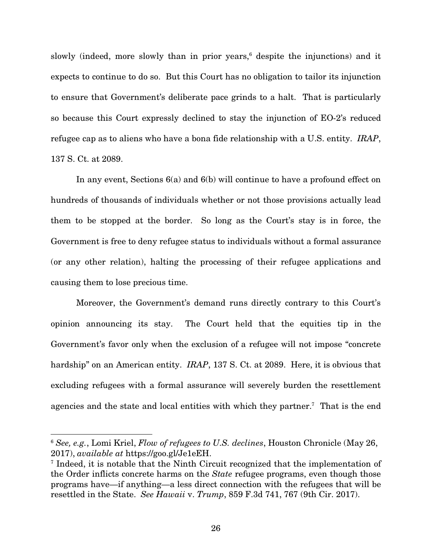slowly (indeed, more slowly than in prior years,<sup>6</sup> despite the injunctions) and it expects to continue to do so. But this Court has no obligation to tailor its injunction to ensure that Government's deliberate pace grinds to a halt. That is particularly so because this Court expressly declined to stay the injunction of EO-2's reduced refugee cap as to aliens who have a bona fide relationship with a U.S. entity. IRAP, 137 S. Ct. at 2089.

In any event, Sections 6(a) and 6(b) will continue to have a profound effect on hundreds of thousands of individuals whether or not those provisions actually lead them to be stopped at the border. So long as the Court's stay is in force, the Government is free to deny refugee status to individuals without a formal assurance (or any other relation), halting the processing of their refugee applications and causing them to lose precious time.

Moreover, the Government's demand runs directly contrary to this Court's opinion announcing its stay. The Court held that the equities tip in the Government's favor only when the exclusion of a refugee will not impose "concrete hardship" on an American entity. *IRAP*, 137 S. Ct. at 2089. Here, it is obvious that excluding refugees with a formal assurance will severely burden the resettlement agencies and the state and local entities with which they partner.<sup>7</sup> That is the end

<sup>&</sup>lt;sup>6</sup> See, e.g., Lomi Kriel, Flow of refugees to U.S. declines, Houston Chronicle (May 26, 2017), available at https://goo.gl/Je1eEH.

<sup>7</sup> Indeed, it is notable that the Ninth Circuit recognized that the implementation of the Order inflicts concrete harms on the State refugee programs, even though those programs have—if anything—a less direct connection with the refugees that will be resettled in the State. See Hawaii v. Trump, 859 F.3d 741, 767 (9th Cir. 2017).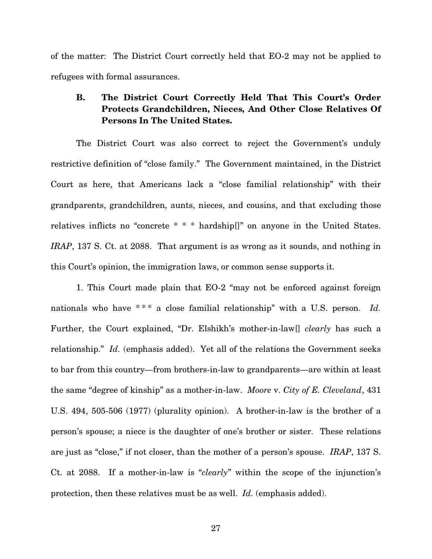of the matter: The District Court correctly held that EO-2 may not be applied to refugees with formal assurances.

### B. The District Court Correctly Held That This Court's Order Protects Grandchildren, Nieces, And Other Close Relatives Of Persons In The United States.

The District Court was also correct to reject the Government's unduly restrictive definition of "close family." The Government maintained, in the District Court as here, that Americans lack a "close familial relationship" with their grandparents, grandchildren, aunts, nieces, and cousins, and that excluding those relatives inflicts no "concrete \* \* \* hardship[]" on anyone in the United States. IRAP, 137 S. Ct. at 2088. That argument is as wrong as it sounds, and nothing in this Court's opinion, the immigration laws, or common sense supports it.

1. This Court made plain that EO-2 "may not be enforced against foreign nationals who have  $***$  a close familial relationship" with a U.S. person. Id. Further, the Court explained, "Dr. Elshikh's mother-in-law[] *clearly* has such a relationship." Id. (emphasis added). Yet all of the relations the Government seeks to bar from this country—from brothers-in-law to grandparents—are within at least the same "degree of kinship" as a mother-in-law. Moore v. City of E. Cleveland, 431 U.S. 494, 505-506 (1977) (plurality opinion). A brother-in-law is the brother of a person's spouse; a niece is the daughter of one's brother or sister. These relations are just as "close," if not closer, than the mother of a person's spouse. IRAP, 137 S. Ct. at 2088. If a mother-in-law is "clearly" within the scope of the injunction's protection, then these relatives must be as well. Id. (emphasis added).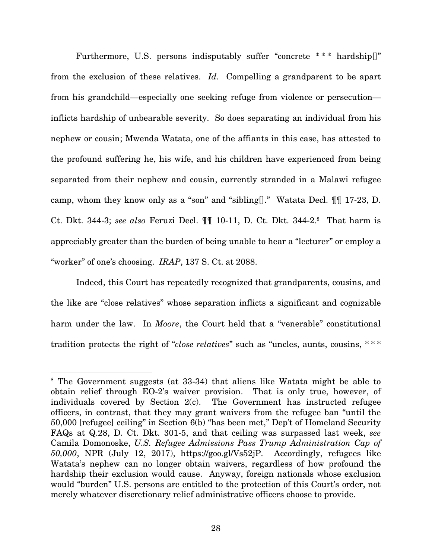Furthermore, U.S. persons indisputably suffer "concrete \*\*\* hardship[]" from the exclusion of these relatives. Id. Compelling a grandparent to be apart from his grandchild—especially one seeking refuge from violence or persecution inflicts hardship of unbearable severity. So does separating an individual from his nephew or cousin; Mwenda Watata, one of the affiants in this case, has attested to the profound suffering he, his wife, and his children have experienced from being separated from their nephew and cousin, currently stranded in a Malawi refugee camp, whom they know only as a "son" and "sibling[]." Watata Decl. ¶¶ 17-23, D. Ct. Dkt. 344-3; see also Feruzi Decl.  $\P\P$  10-11, D. Ct. Dkt. 344-2.<sup>8</sup> That harm is appreciably greater than the burden of being unable to hear a "lecturer" or employ a "worker" of one's choosing. IRAP, 137 S. Ct. at 2088.

Indeed, this Court has repeatedly recognized that grandparents, cousins, and the like are "close relatives" whose separation inflicts a significant and cognizable harm under the law. In *Moore*, the Court held that a "venerable" constitutional tradition protects the right of "close relatives" such as "uncles, aunts, cousins, \*\*\*

<sup>&</sup>lt;sup>8</sup> The Government suggests (at 33-34) that aliens like Watata might be able to obtain relief through EO-2's waiver provision. That is only true, however, of individuals covered by Section 2(c). The Government has instructed refugee officers, in contrast, that they may grant waivers from the refugee ban "until the 50,000 [refugee] ceiling" in Section 6(b) "has been met," Dep't of Homeland Security FAQs at Q.28, D. Ct. Dkt. 301-5, and that ceiling was surpassed last week, see Camila Domonoske, U.S. Refugee Admissions Pass Trump Administration Cap of 50,000, NPR (July 12, 2017), https://goo.gl/Vs52jP. Accordingly, refugees like Watata's nephew can no longer obtain waivers, regardless of how profound the hardship their exclusion would cause. Anyway, foreign nationals whose exclusion would "burden" U.S. persons are entitled to the protection of this Court's order, not merely whatever discretionary relief administrative officers choose to provide.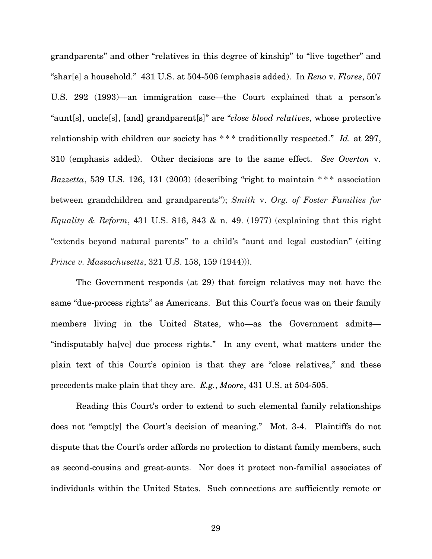grandparents" and other "relatives in this degree of kinship" to "live together" and "shar[e] a household." 431 U.S. at 504-506 (emphasis added). In Reno v. Flores, 507 U.S. 292 (1993)—an immigration case—the Court explained that a person's "aunt[s], uncle[s], [and] grandparent[s]" are "close blood relatives, whose protective relationship with children our society has  $***$  traditionally respected." Id. at 297, 310 (emphasis added). Other decisions are to the same effect. See Overton v. Bazzetta, 539 U.S. 126, 131 (2003) (describing "right to maintain  $***$  association between grandchildren and grandparents"); Smith v. Org. of Foster Families for Equality & Reform, 431 U.S. 816, 843 & n. 49. (1977) (explaining that this right "extends beyond natural parents" to a child's "aunt and legal custodian" (citing Prince v. Massachusetts, 321 U.S. 158, 159 (1944))).

The Government responds (at 29) that foreign relatives may not have the same "due-process rights" as Americans. But this Court's focus was on their family members living in the United States, who—as the Government admits— "indisputably ha[ve] due process rights." In any event, what matters under the plain text of this Court's opinion is that they are "close relatives," and these precedents make plain that they are. E.g., Moore, 431 U.S. at 504-505.

Reading this Court's order to extend to such elemental family relationships does not "empt[y] the Court's decision of meaning." Mot. 3-4. Plaintiffs do not dispute that the Court's order affords no protection to distant family members, such as second-cousins and great-aunts. Nor does it protect non-familial associates of individuals within the United States. Such connections are sufficiently remote or

29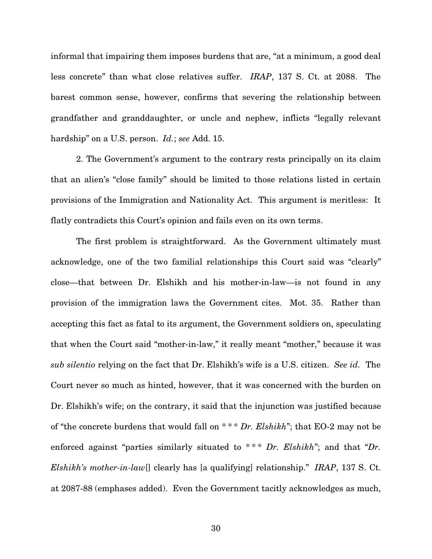informal that impairing them imposes burdens that are, "at a minimum, a good deal less concrete" than what close relatives suffer. IRAP, 137 S. Ct. at 2088. The barest common sense, however, confirms that severing the relationship between grandfather and granddaughter, or uncle and nephew, inflicts "legally relevant hardship" on a U.S. person. *Id.*; see Add. 15.

2. The Government's argument to the contrary rests principally on its claim that an alien's "close family" should be limited to those relations listed in certain provisions of the Immigration and Nationality Act. This argument is meritless: It flatly contradicts this Court's opinion and fails even on its own terms.

The first problem is straightforward. As the Government ultimately must acknowledge, one of the two familial relationships this Court said was "clearly" close—that between Dr. Elshikh and his mother-in-law—is not found in any provision of the immigration laws the Government cites. Mot. 35. Rather than accepting this fact as fatal to its argument, the Government soldiers on, speculating that when the Court said "mother-in-law," it really meant "mother," because it was sub silentio relying on the fact that Dr. Elshikh's wife is a U.S. citizen. See id. The Court never so much as hinted, however, that it was concerned with the burden on Dr. Elshikh's wife; on the contrary, it said that the injunction was justified because of "the concrete burdens that would fall on \* \* \* Dr. Elshikh"; that EO-2 may not be enforced against "parties similarly situated to  $***$  Dr. Elshikh"; and that "Dr. *Elshikh's mother-in-law* [] clearly has [a qualifying] relationship." *IRAP*, 137 S. Ct. at 2087-88 (emphases added). Even the Government tacitly acknowledges as much,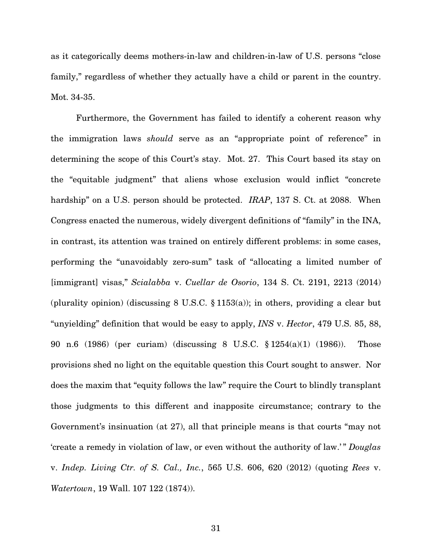as it categorically deems mothers-in-law and children-in-law of U.S. persons "close family," regardless of whether they actually have a child or parent in the country. Mot. 34-35.

Furthermore, the Government has failed to identify a coherent reason why the immigration laws should serve as an "appropriate point of reference" in determining the scope of this Court's stay. Mot. 27. This Court based its stay on the "equitable judgment" that aliens whose exclusion would inflict "concrete hardship" on a U.S. person should be protected. *IRAP*, 137 S. Ct. at 2088. When Congress enacted the numerous, widely divergent definitions of "family" in the INA, in contrast, its attention was trained on entirely different problems: in some cases, performing the "unavoidably zero-sum" task of "allocating a limited number of [immigrant] visas," Scialabba v. Cuellar de Osorio, 134 S. Ct. 2191, 2213 (2014) (plurality opinion) (discussing  $8 \text{ U.S.C. } \S 1153(a)$ ); in others, providing a clear but "unyielding" definition that would be easy to apply, *INS* v. *Hector*, 479 U.S. 85, 88, 90 n.6 (1986) (per curiam) (discussing 8 U.S.C. § 1254(a)(1) (1986)). Those provisions shed no light on the equitable question this Court sought to answer. Nor does the maxim that "equity follows the law" require the Court to blindly transplant those judgments to this different and inapposite circumstance; contrary to the Government's insinuation (at 27), all that principle means is that courts "may not 'create a remedy in violation of law, or even without the authority of law.' " Douglas v. Indep. Living Ctr. of S. Cal., Inc., 565 U.S. 606, 620 (2012) (quoting Rees v. Watertown, 19 Wall. 107 122 (1874)).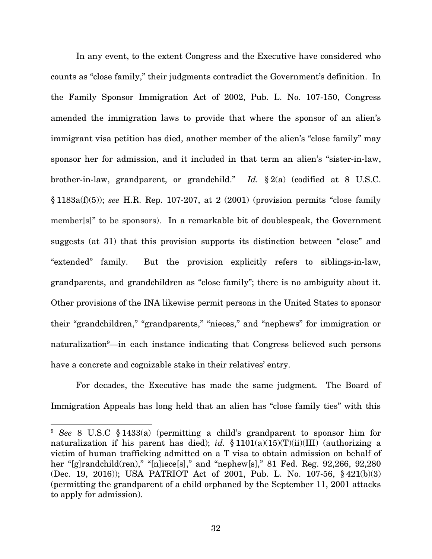In any event, to the extent Congress and the Executive have considered who counts as "close family," their judgments contradict the Government's definition. In the Family Sponsor Immigration Act of 2002, Pub. L. No. 107-150, Congress amended the immigration laws to provide that where the sponsor of an alien's immigrant visa petition has died, another member of the alien's "close family" may sponsor her for admission, and it included in that term an alien's "sister-in-law, brother-in-law, grandparent, or grandchild." Id.  $\S 2(a)$  (codified at 8 U.S.C. § 1183a(f)(5)); see H.R. Rep. 107-207, at 2 (2001) (provision permits "close family member[s]" to be sponsors). In a remarkable bit of doublespeak, the Government suggests (at 31) that this provision supports its distinction between "close" and "extended" family. But the provision explicitly refers to siblings-in-law, grandparents, and grandchildren as "close family"; there is no ambiguity about it. Other provisions of the INA likewise permit persons in the United States to sponsor their "grandchildren," "grandparents," "nieces," and "nephews" for immigration or naturalization<sup>9</sup>—in each instance indicating that Congress believed such persons have a concrete and cognizable stake in their relatives' entry.

For decades, the Executive has made the same judgment. The Board of Immigration Appeals has long held that an alien has "close family ties" with this

 $\overline{a}$ 

32

<sup>9</sup> See 8 U.S.C § 1433(a) (permitting a child's grandparent to sponsor him for naturalization if his parent has died); id.  $$1101(a)(15)(T)(ii)(III)$  (authorizing a victim of human trafficking admitted on a T visa to obtain admission on behalf of her "[g]randchild(ren)," "[n]iece[s]," and "nephew[s]," 81 Fed. Reg. 92,266, 92,280 (Dec. 19, 2016)); USA PATRIOT Act of 2001, Pub. L. No. 107-56, § 421(b)(3) (permitting the grandparent of a child orphaned by the September 11, 2001 attacks to apply for admission).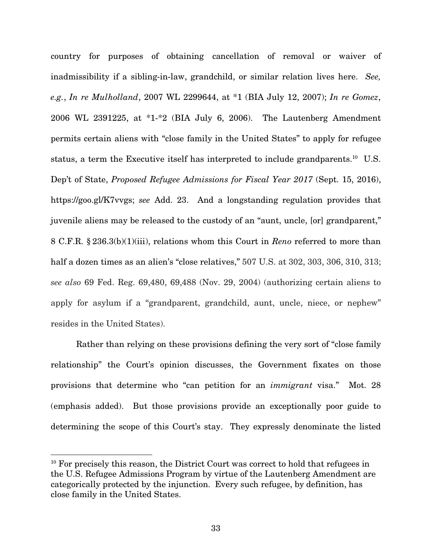country for purposes of obtaining cancellation of removal or waiver of inadmissibility if a sibling-in-law, grandchild, or similar relation lives here. See, e.g., In re Mulholland, 2007 WL 2299644, at \*1 (BIA July 12, 2007); In re Gomez, 2006 WL 2391225, at \*1-\*2 (BIA July 6, 2006). The Lautenberg Amendment permits certain aliens with "close family in the United States" to apply for refugee status, a term the Executive itself has interpreted to include grandparents.<sup>10</sup> U.S. Dep't of State, Proposed Refugee Admissions for Fiscal Year 2017 (Sept. 15, 2016), https://goo.gl/K7vvgs; see Add. 23. And a longstanding regulation provides that juvenile aliens may be released to the custody of an "aunt, uncle, [or] grandparent," 8 C.F.R. § 236.3(b)(1)(iii), relations whom this Court in Reno referred to more than half a dozen times as an alien's "close relatives," 507 U.S. at 302, 303, 306, 310, 313; see also 69 Fed. Reg. 69,480, 69,488 (Nov. 29, 2004) (authorizing certain aliens to apply for asylum if a "grandparent, grandchild, aunt, uncle, niece, or nephew" resides in the United States).

Rather than relying on these provisions defining the very sort of "close family relationship" the Court's opinion discusses, the Government fixates on those provisions that determine who "can petition for an immigrant visa." Mot. 28 (emphasis added). But those provisions provide an exceptionally poor guide to determining the scope of this Court's stay. They expressly denominate the listed

<sup>&</sup>lt;sup>10</sup> For precisely this reason, the District Court was correct to hold that refugees in the U.S. Refugee Admissions Program by virtue of the Lautenberg Amendment are categorically protected by the injunction. Every such refugee, by definition, has close family in the United States.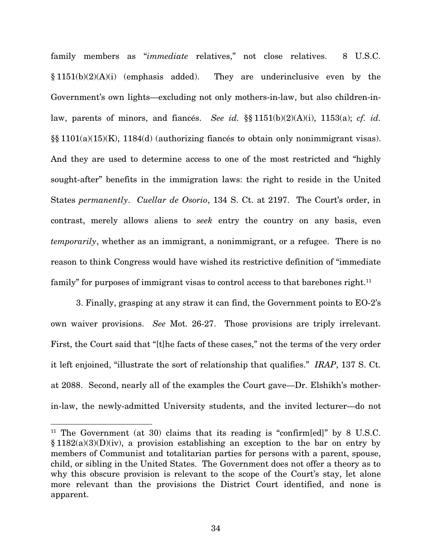family members as "immediate relatives," not close relatives. 8 U.S.C.  $§ 1151(b)(2)(A)(i)$  (emphasis added). They are underinclusive even by the Government's own lights—excluding not only mothers-in-law, but also children-inlaw, parents of minors, and fiances. See id.  $\S$ [§ 1151(b)(2)(A)(i), 1153(a); cf. id. §§ 1101(a)(15)(K), 1184(d) (authorizing fiancés to obtain only nonimmigrant visas). And they are used to determine access to one of the most restricted and "highly sought-after" benefits in the immigration laws: the right to reside in the United States permanently. Cuellar de Osorio, 134 S. Ct. at 2197. The Court's order, in contrast, merely allows aliens to seek entry the country on any basis, even temporarily, whether as an immigrant, a nonimmigrant, or a refugee. There is no reason to think Congress would have wished its restrictive definition of "immediate family" for purposes of immigrant visas to control access to that barebones right.<sup>11</sup>

3. Finally, grasping at any straw it can find, the Government points to EO-2's own waiver provisions. See Mot. 26-27. Those provisions are triply irrelevant. First, the Court said that "[t]he facts of these cases," not the terms of the very order it left enjoined, "illustrate the sort of relationship that qualifies." IRAP, 137 S. Ct. at 2088. Second, nearly all of the examples the Court gave—Dr. Elshikh's motherin-law, the newly-admitted University students, and the invited lecturer—do not

<sup>&</sup>lt;sup>11</sup> The Government (at 30) claims that its reading is "confirm[ed]" by 8 U.S.C.  $§ 1182(a)(3)(D)(iv)$ , a provision establishing an exception to the bar on entry by members of Communist and totalitarian parties for persons with a parent, spouse, child, or sibling in the United States. The Government does not offer a theory as to why this obscure provision is relevant to the scope of the Court's stay, let alone more relevant than the provisions the District Court identified, and none is apparent.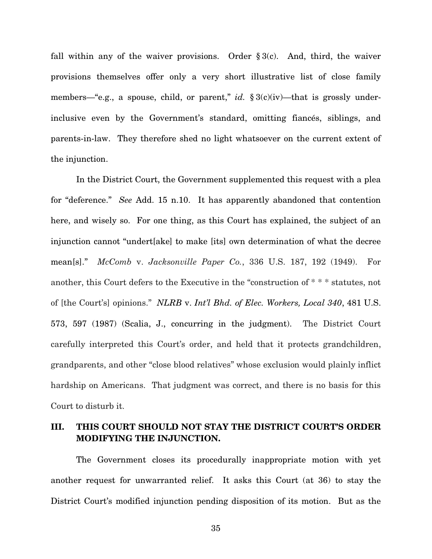fall within any of the waiver provisions. Order  $\S 3(c)$ . And, third, the waiver provisions themselves offer only a very short illustrative list of close family members—"e.g., a spouse, child, or parent," id.  $\S 3(c)(iv)$ —that is grossly underinclusive even by the Government's standard, omitting fiancés, siblings, and parents-in-law. They therefore shed no light whatsoever on the current extent of the injunction.

In the District Court, the Government supplemented this request with a plea for "deference." See Add. 15 n.10. It has apparently abandoned that contention here, and wisely so. For one thing, as this Court has explained, the subject of an injunction cannot "undert[ake] to make [its] own determination of what the decree mean[s]." McComb v. Jacksonville Paper Co., 336 U.S. 187, 192 (1949). For another, this Court defers to the Executive in the "construction of \* \* \* statutes, not of [the Court's] opinions." NLRB v. Int'l Bhd. of Elec. Workers, Local 340, 481 U.S. 573, 597 (1987) (Scalia, J., concurring in the judgment). The District Court carefully interpreted this Court's order, and held that it protects grandchildren, grandparents, and other "close blood relatives" whose exclusion would plainly inflict hardship on Americans. That judgment was correct, and there is no basis for this Court to disturb it.

#### III. THIS COURT SHOULD NOT STAY THE DISTRICT COURT'S ORDER MODIFYING THE INJUNCTION.

The Government closes its procedurally inappropriate motion with yet another request for unwarranted relief. It asks this Court (at 36) to stay the District Court's modified injunction pending disposition of its motion. But as the

35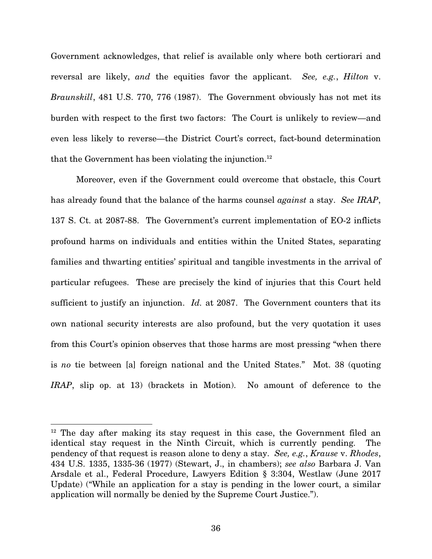Government acknowledges, that relief is available only where both certiorari and reversal are likely, and the equities favor the applicant. See, e.g., Hilton v. Braunskill, 481 U.S. 770, 776 (1987). The Government obviously has not met its burden with respect to the first two factors: The Court is unlikely to review—and even less likely to reverse—the District Court's correct, fact-bound determination that the Government has been violating the injunction. $12$ 

Moreover, even if the Government could overcome that obstacle, this Court has already found that the balance of the harms counsel *against* a stay. See IRAP, 137 S. Ct. at 2087-88. The Government's current implementation of EO-2 inflicts profound harms on individuals and entities within the United States, separating families and thwarting entities' spiritual and tangible investments in the arrival of particular refugees. These are precisely the kind of injuries that this Court held sufficient to justify an injunction.  $Id$ , at 2087. The Government counters that its own national security interests are also profound, but the very quotation it uses from this Court's opinion observes that those harms are most pressing "when there is no tie between [a] foreign national and the United States." Mot. 38 (quoting IRAP, slip op. at 13) (brackets in Motion). No amount of deference to the

<sup>&</sup>lt;sup>12</sup> The day after making its stay request in this case, the Government filed an identical stay request in the Ninth Circuit, which is currently pending. The pendency of that request is reason alone to deny a stay. See, e.g., Krause v. Rhodes, 434 U.S. 1335, 1335-36 (1977) (Stewart, J., in chambers); see also Barbara J. Van Arsdale et al., Federal Procedure, Lawyers Edition § 3:304, Westlaw (June 2017 Update) ("While an application for a stay is pending in the lower court, a similar application will normally be denied by the Supreme Court Justice.").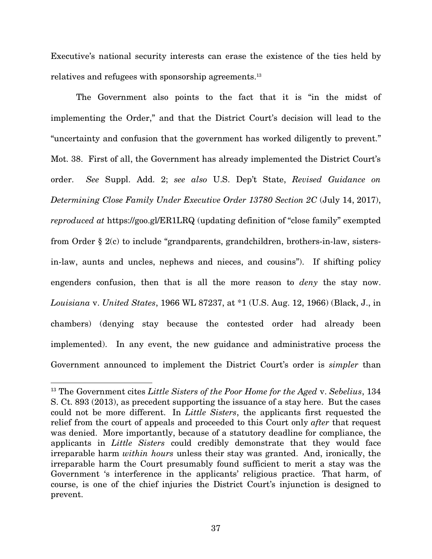Executive's national security interests can erase the existence of the ties held by relatives and refugees with sponsorship agreements.<sup>13</sup>

 The Government also points to the fact that it is "in the midst of implementing the Order," and that the District Court's decision will lead to the "uncertainty and confusion that the government has worked diligently to prevent." Mot. 38. First of all, the Government has already implemented the District Court's order. See Suppl. Add. 2; see also U.S. Dep't State, Revised Guidance on Determining Close Family Under Executive Order 13780 Section 2C (July 14, 2017), reproduced at https://goo.gl/ER1LRQ (updating definition of "close family" exempted from Order § 2(c) to include "grandparents, grandchildren, brothers-in-law, sistersin-law, aunts and uncles, nephews and nieces, and cousins"). If shifting policy engenders confusion, then that is all the more reason to *deny* the stay now. Louisiana v. United States, 1966 WL 87237, at \*1 (U.S. Aug. 12, 1966) (Black, J., in chambers) (denying stay because the contested order had already been implemented). In any event, the new guidance and administrative process the Government announced to implement the District Court's order is simpler than

 $13$  The Government cites Little Sisters of the Poor Home for the Aged v. Sebelius, 134 S. Ct. 893 (2013), as precedent supporting the issuance of a stay here. But the cases could not be more different. In Little Sisters, the applicants first requested the relief from the court of appeals and proceeded to this Court only *after* that request was denied. More importantly, because of a statutory deadline for compliance, the applicants in Little Sisters could credibly demonstrate that they would face irreparable harm within hours unless their stay was granted. And, ironically, the irreparable harm the Court presumably found sufficient to merit a stay was the Government 's interference in the applicants' religious practice. That harm, of course, is one of the chief injuries the District Court's injunction is designed to prevent.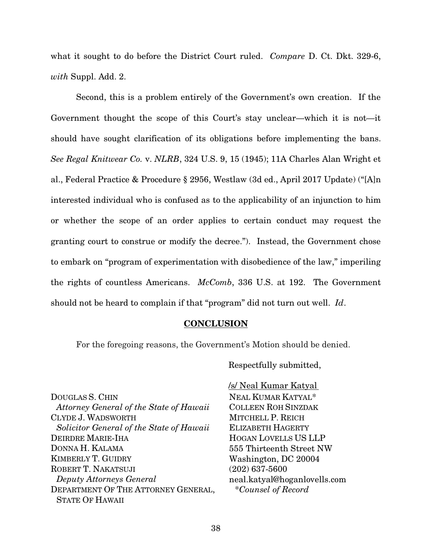what it sought to do before the District Court ruled. *Compare D. Ct. Dkt.* 329-6, with Suppl. Add. 2.

Second, this is a problem entirely of the Government's own creation. If the Government thought the scope of this Court's stay unclear—which it is not—it should have sought clarification of its obligations before implementing the bans. See Regal Knitwear Co. v. NLRB, 324 U.S. 9, 15 (1945); 11A Charles Alan Wright et al., Federal Practice & Procedure § 2956, Westlaw (3d ed., April 2017 Update) ("[A]n interested individual who is confused as to the applicability of an injunction to him or whether the scope of an order applies to certain conduct may request the granting court to construe or modify the decree."). Instead, the Government chose to embark on "program of experimentation with disobedience of the law," imperiling the rights of countless Americans. McComb, 336 U.S. at 192. The Government should not be heard to complain if that "program" did not turn out well. Id.

#### **CONCLUSION**

For the foregoing reasons, the Government's Motion should be denied.

Respectfully submitted,

 /s/ Neal Kumar Katyal NEAL KUMAR KATYAL\* COLLEEN ROH SINZDAK MITCHELL P. REICH ELIZABETH HAGERTY HOGAN LOVELLS US LLP 555 Thirteenth Street NW Washington, DC 20004 (202) 637-5600 neal.katyal@hoganlovells.com \*Counsel of Record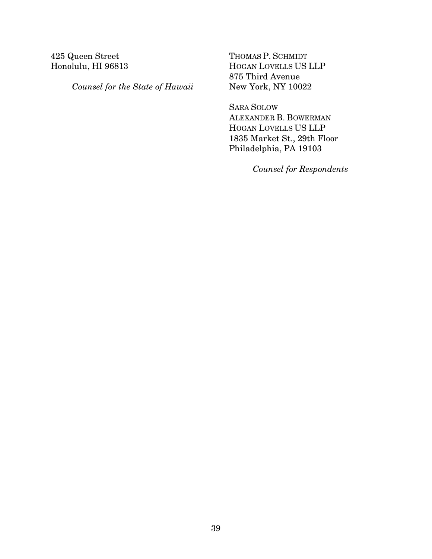### 425 Queen Street Honolulu, HI 96813

Counsel for the State of Hawaii

THOMAS P. SCHMIDT HOGAN LOVELLS US LLP 875 Third Avenue New York, NY 10022

SARA SOLOW ALEXANDER B. BOWERMAN HOGAN LOVELLS US LLP 1835 Market St., 29th Floor Philadelphia, PA 19103

Counsel for Respondents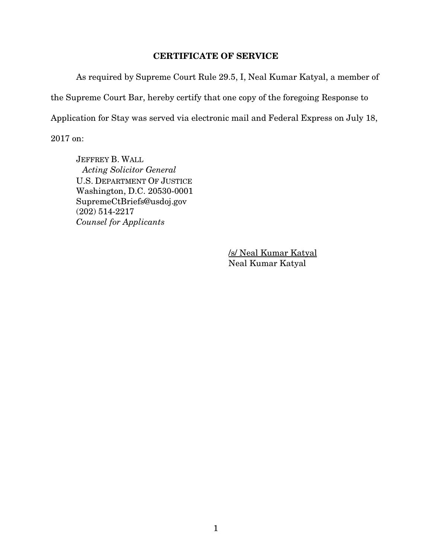#### CERTIFICATE OF SERVICE

 As required by Supreme Court Rule 29.5, I, Neal Kumar Katyal, a member of the Supreme Court Bar, hereby certify that one copy of the foregoing Response to Application for Stay was served via electronic mail and Federal Express on July 18, 2017 on:

JEFFREY B. WALL Acting Solicitor General U.S. DEPARTMENT OF JUSTICE Washington, D.C. 20530-0001 SupremeCtBriefs@usdoj.gov (202) 514-2217 Counsel for Applicants

> /s/ Neal Kumar Katyal Neal Kumar Katyal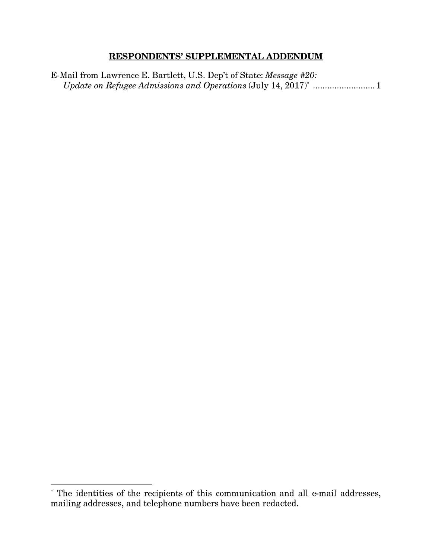### **RESPONDENTS' SUPPLEMENTAL ADDENDUM**

E-Mail from Lawrence E. Bartlett, U.S. Dep't of State: Message #20: Update on Refugee Admissions and Operations (July 14, 2017)\* ........................... 1

<sup>\*</sup> The identities of the recipients of this communication and all e-mail addresses, mailing addresses, and telephone numbers have been redacted.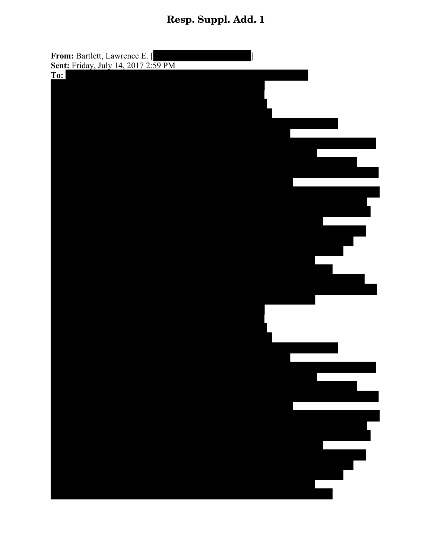# Resp. Suppl. Add. 1

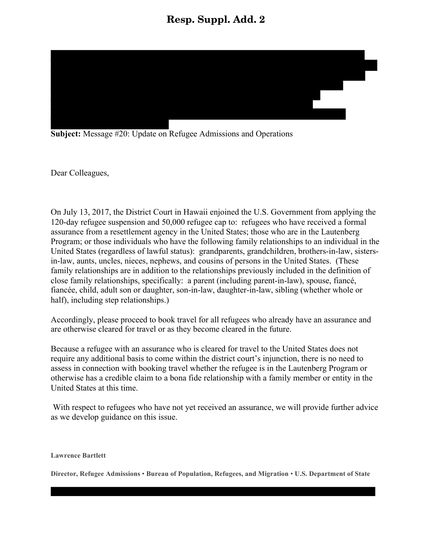## Resp. Suppl. Add. 2



**Subject:** Message #20: Update on Refugee Admissions and Operations

Dear Colleagues,

On July 13, 2017, the District Court in Hawaii enjoined the U.S. Government from applying the 120-day refugee suspension and 50,000 refugee cap to: refugees who have received a formal assurance from a resettlement agency in the United States; those who are in the Lautenberg Program; or those individuals who have the following family relationships to an individual in the United States (regardless of lawful status): grandparents, grandchildren, brothers-in-law, sistersin-law, aunts, uncles, nieces, nephews, and cousins of persons in the United States. (These family relationships are in addition to the relationships previously included in the definition of close family relationships, specifically: a parent (including parent-in-law), spouse, fiancé, fiancée, child, adult son or daughter, son-in-law, daughter-in-law, sibling (whether whole or half), including step relationships.

Accordingly, please proceed to book travel for all refugees who already have an assurance and are otherwise cleared for travel or as they become cleared in the future.

Because a refugee with an assurance who is cleared for travel to the United States does not require any additional basis to come within the district court's injunction, there is no need to assess in connection with booking travel whether the refugee is in the Lautenberg Program or otherwise has a credible claim to a bona fide relationship with a family member or entity in the United States at this time.

With respect to refugees who have not yet received an assurance, we will provide further advice as we develop guidance on this issue.

**Lawrence Bartlett**

**Director, Refugee Admissions** • **Bureau of Population, Refugees, and Migration** • **U.S. Department of State**